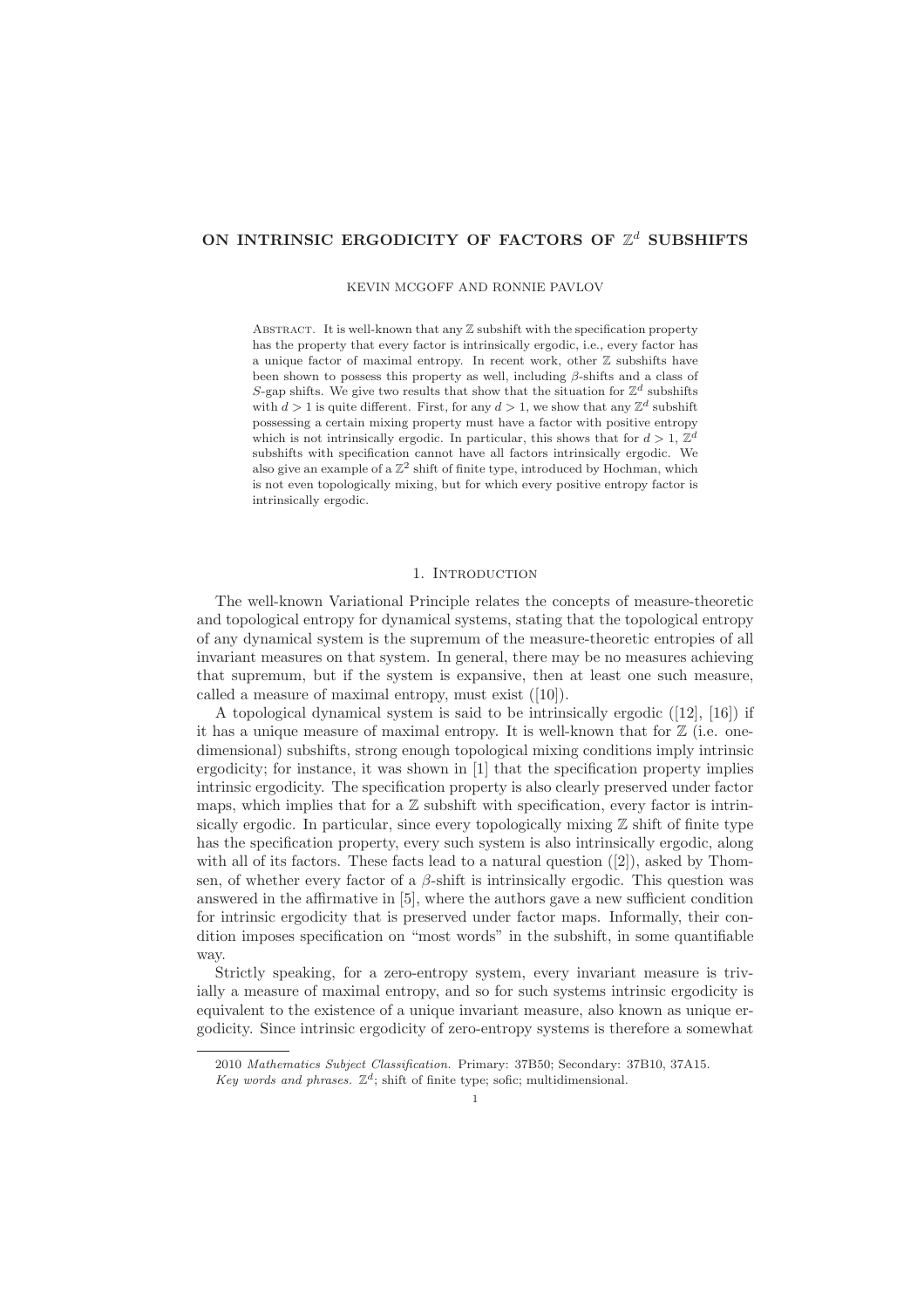# ON INTRINSIC ERGODICITY OF FACTORS OF  $\mathbb{Z}^d$  SUBSHIFTS

KEVIN MCGOFF AND RONNIE PAVLOV

ABSTRACT. It is well-known that any  $\mathbb Z$  subshift with the specification property has the property that every factor is intrinsically ergodic, i.e., every factor has a unique factor of maximal entropy. In recent work, other Z subshifts have been shown to possess this property as well, including  $\beta$ -shifts and a class of S-gap shifts. We give two results that show that the situation for  $\mathbb{Z}^d$  subshifts with  $d > 1$  is quite different. First, for any  $d > 1$ , we show that any  $\mathbb{Z}^d$  subshift possessing a certain mixing property must have a factor with positive entropy which is not intrinsically ergodic. In particular, this shows that for  $d > 1$ ,  $\mathbb{Z}^d$ subshifts with specification cannot have all factors intrinsically ergodic. We also give an example of a  $\mathbb{Z}^2$  shift of finite type, introduced by Hochman, which is not even topologically mixing, but for which every positive entropy factor is intrinsically ergodic.

# 1. INTRODUCTION

The well-known Variational Principle relates the concepts of measure-theoretic and topological entropy for dynamical systems, stating that the topological entropy of any dynamical system is the supremum of the measure-theoretic entropies of all invariant measures on that system. In general, there may be no measures achieving that supremum, but if the system is expansive, then at least one such measure, called a measure of maximal entropy, must exist ([10]).

A topological dynamical system is said to be intrinsically ergodic ([12], [16]) if it has a unique measure of maximal entropy. It is well-known that for  $\mathbb{Z}$  (i.e. onedimensional) subshifts, strong enough topological mixing conditions imply intrinsic ergodicity; for instance, it was shown in [1] that the specification property implies intrinsic ergodicity. The specification property is also clearly preserved under factor maps, which implies that for a  $\mathbb Z$  subshift with specification, every factor is intrinsically ergodic. In particular, since every topologically mixing  $\mathbb Z$  shift of finite type has the specification property, every such system is also intrinsically ergodic, along with all of its factors. These facts lead to a natural question  $([2])$ , asked by Thomsen, of whether every factor of a  $\beta$ -shift is intrinsically ergodic. This question was answered in the affirmative in [5], where the authors gave a new sufficient condition for intrinsic ergodicity that is preserved under factor maps. Informally, their condition imposes specification on "most words" in the subshift, in some quantifiable way.

Strictly speaking, for a zero-entropy system, every invariant measure is trivially a measure of maximal entropy, and so for such systems intrinsic ergodicity is equivalent to the existence of a unique invariant measure, also known as unique ergodicity. Since intrinsic ergodicity of zero-entropy systems is therefore a somewhat

<sup>2010</sup> *Mathematics Subject Classification.* Primary: 37B50; Secondary: 37B10, 37A15.

Key words and phrases.  $\mathbb{Z}^d$ ; shift of finite type; sofic; multidimensional.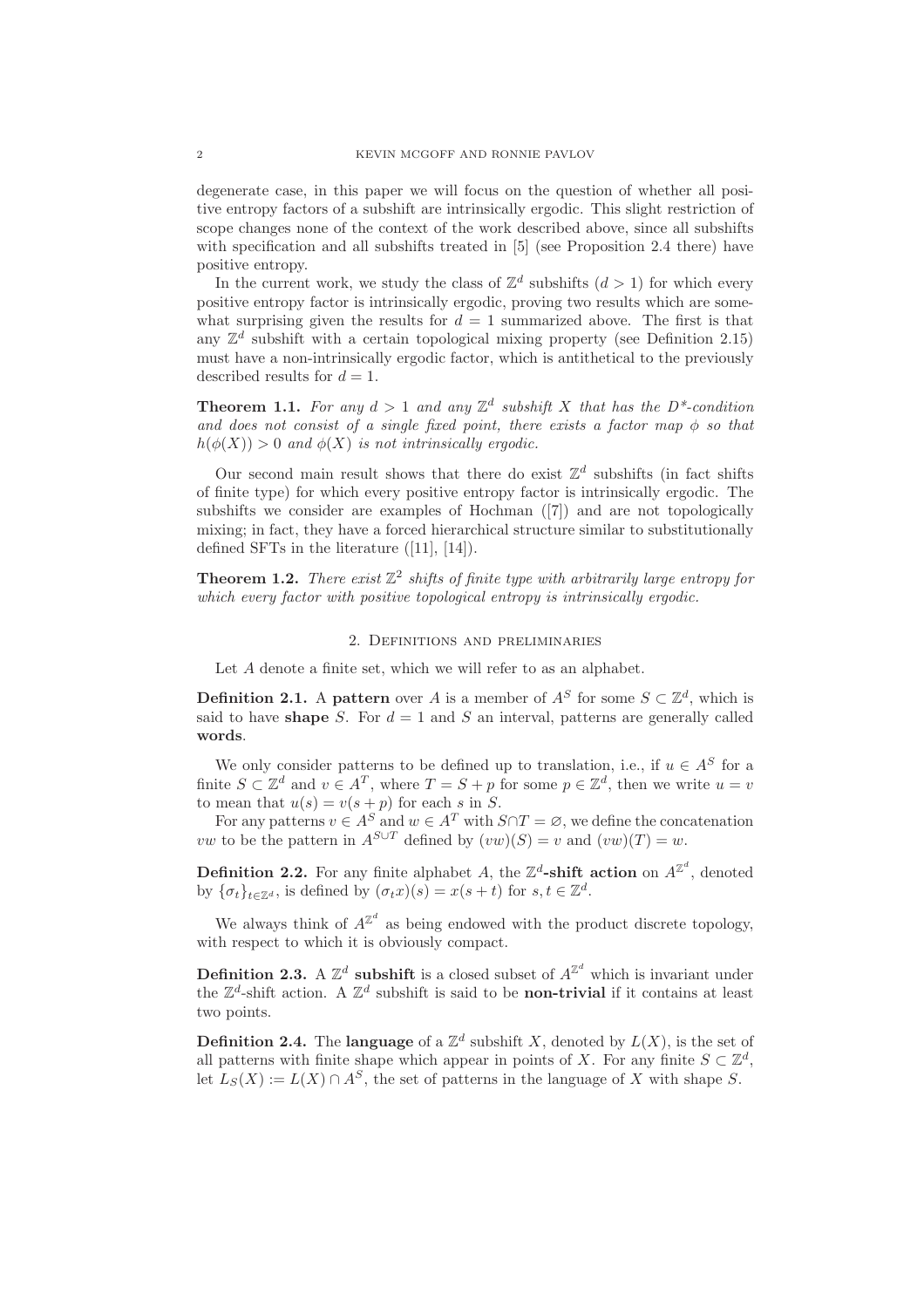degenerate case, in this paper we will focus on the question of whether all positive entropy factors of a subshift are intrinsically ergodic. This slight restriction of scope changes none of the context of the work described above, since all subshifts with specification and all subshifts treated in [5] (see Proposition 2.4 there) have positive entropy.

In the current work, we study the class of  $\mathbb{Z}^d$  subshifts  $(d > 1)$  for which every positive entropy factor is intrinsically ergodic, proving two results which are somewhat surprising given the results for  $d = 1$  summarized above. The first is that any  $\mathbb{Z}^d$  subshift with a certain topological mixing property (see Definition 2.15) must have a non-intrinsically ergodic factor, which is antithetical to the previously described results for  $d = 1$ .

**Theorem 1.1.** For any  $d > 1$  and any  $\mathbb{Z}^d$  subshift X that has the  $D^*$ -condition *and does not consist of a single fixed point, there exists a factor map* φ *so that*  $h(\phi(X)) > 0$  *and*  $\phi(X)$  *is not intrinsically ergodic.* 

Our second main result shows that there do exist  $\mathbb{Z}^d$  subshifts (in fact shifts of finite type) for which every positive entropy factor is intrinsically ergodic. The subshifts we consider are examples of Hochman ([7]) and are not topologically mixing; in fact, they have a forced hierarchical structure similar to substitutionally defined SFTs in the literature ([11], [14]).

**Theorem 1.2.** *There exist*  $\mathbb{Z}^2$  *shifts of finite type with arbitrarily large entropy for which every factor with positive topological entropy is intrinsically ergodic.*

## 2. Definitions and preliminaries

Let A denote a finite set, which we will refer to as an alphabet.

**Definition 2.1.** A pattern over A is a member of  $A^S$  for some  $S \subset \mathbb{Z}^d$ , which is said to have shape S. For  $d = 1$  and S an interval, patterns are generally called words.

We only consider patterns to be defined up to translation, i.e., if  $u \in A^S$  for a finite  $S \subset \mathbb{Z}^d$  and  $v \in A^T$ , where  $T = S + p$  for some  $p \in \mathbb{Z}^d$ , then we write  $u = v$ to mean that  $u(s) = v(s+p)$  for each s in S.

For any patterns  $v \in A^S$  and  $w \in A^T$  with  $S \cap T = \emptyset$ , we define the concatenation vw to be the pattern in  $A^{S\cup T}$  defined by  $(vw)(S) = v$  and  $(vw)(T) = w$ .

**Definition 2.2.** For any finite alphabet A, the  $\mathbb{Z}^d$ -shift action on  $A^{\mathbb{Z}^d}$ , denoted by  $\{\sigma_t\}_{t\in\mathbb{Z}^d}$ , is defined by  $(\sigma_t x)(s) = x(s+t)$  for  $s, t \in \mathbb{Z}^d$ .

We always think of  $A^{\mathbb{Z}^d}$  as being endowed with the product discrete topology, with respect to which it is obviously compact.

**Definition 2.3.** A  $\mathbb{Z}^d$  subshift is a closed subset of  $A^{\mathbb{Z}^d}$  which is invariant under the  $\mathbb{Z}^d$ -shift action. A  $\mathbb{Z}^d$  subshift is said to be **non-trivial** if it contains at least two points.

**Definition 2.4.** The **language** of a  $\mathbb{Z}^d$  subshift X, denoted by  $L(X)$ , is the set of all patterns with finite shape which appear in points of X. For any finite  $S \subset \mathbb{Z}^d$ , let  $L_S(X) := L(X) \cap A^S$ , the set of patterns in the language of X with shape S.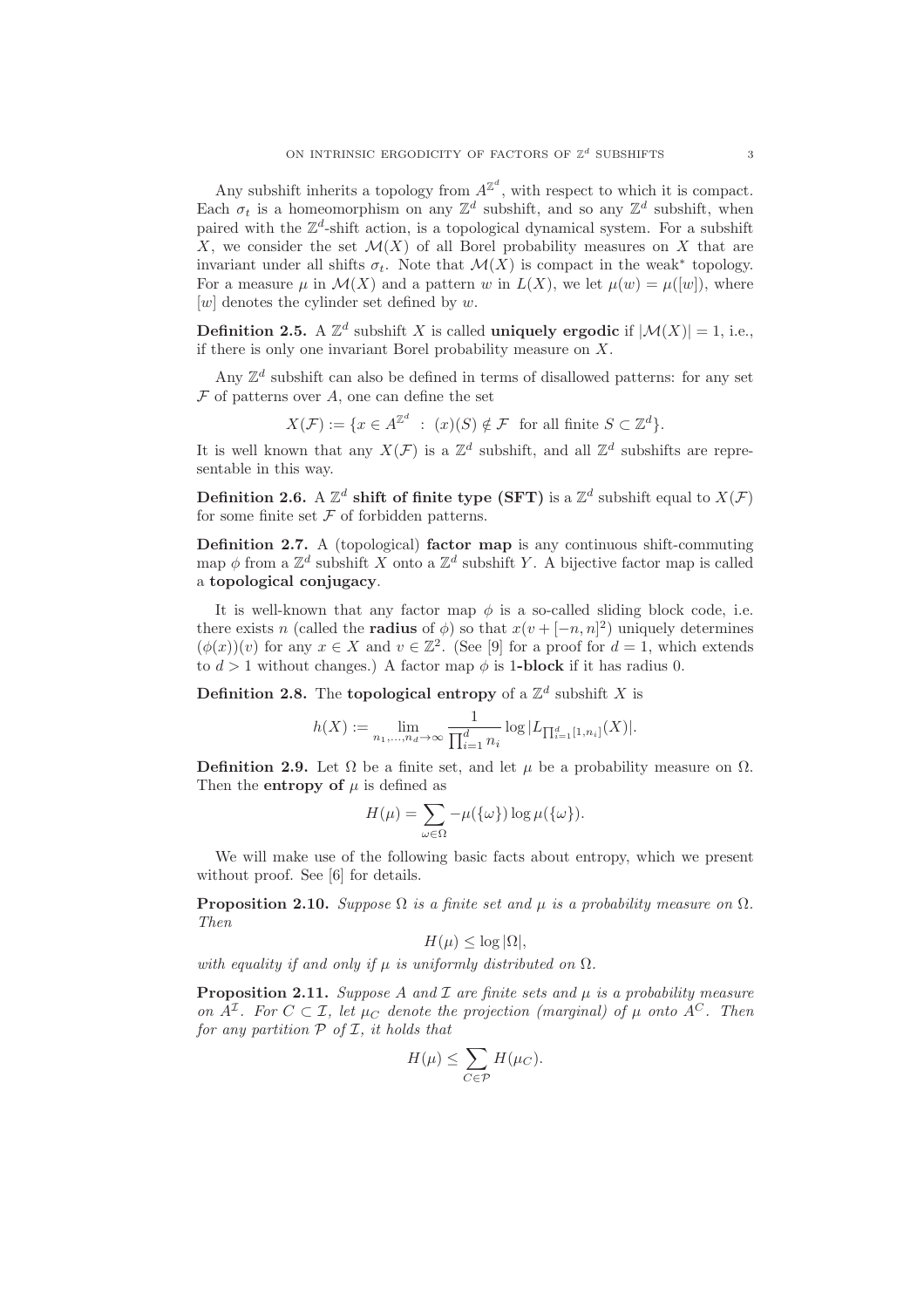Any subshift inherits a topology from  $A^{\mathbb{Z}^d}$ , with respect to which it is compact. Each  $\sigma_t$  is a homeomorphism on any  $\mathbb{Z}^d$  subshift, and so any  $\mathbb{Z}^d$  subshift, when paired with the  $\mathbb{Z}^d$ -shift action, is a topological dynamical system. For a subshift X, we consider the set  $\mathcal{M}(X)$  of all Borel probability measures on X that are invariant under all shifts  $\sigma_t$ . Note that  $\mathcal{M}(X)$  is compact in the weak<sup>\*</sup> topology. For a measure  $\mu$  in  $\mathcal{M}(X)$  and a pattern w in  $L(X)$ , we let  $\mu(w) = \mu([w])$ , where  $[w]$  denotes the cylinder set defined by w.

**Definition 2.5.** A  $\mathbb{Z}^d$  subshift X is called **uniquely ergodic** if  $|\mathcal{M}(X)| = 1$ , i.e., if there is only one invariant Borel probability measure on  $X$ .

Any  $\mathbb{Z}^d$  subshift can also be defined in terms of disallowed patterns: for any set  $\mathcal F$  of patterns over  $A$ , one can define the set

$$
X(\mathcal{F}) := \{ x \in A^{\mathbb{Z}^d} \ : \ (x)(S) \notin \mathcal{F} \text{ for all finite } S \subset \mathbb{Z}^d \}.
$$

It is well known that any  $X(\mathcal{F})$  is a  $\mathbb{Z}^d$  subshift, and all  $\mathbb{Z}^d$  subshifts are representable in this way.

Definition 2.6. A  $\mathbb{Z}^d$  shift of finite type (SFT) is a  $\mathbb{Z}^d$  subshift equal to  $X(\mathcal{F})$ for some finite set  $\mathcal F$  of forbidden patterns.

Definition 2.7. A (topological) factor map is any continuous shift-commuting map  $\phi$  from a  $\mathbb{Z}^d$  subshift X onto a  $\mathbb{Z}^d$  subshift Y. A bijective factor map is called a topological conjugacy.

It is well-known that any factor map  $\phi$  is a so-called sliding block code, i.e. there exists n (called the **radius** of  $\phi$ ) so that  $x(v + [-n, n]^2)$  uniquely determines  $(\phi(x))(v)$  for any  $x \in X$  and  $v \in \mathbb{Z}^2$ . (See [9] for a proof for  $d = 1$ , which extends to  $d > 1$  without changes.) A factor map  $\phi$  is 1-block if it has radius 0.

**Definition 2.8.** The **topological entropy** of a  $\mathbb{Z}^d$  subshift X is

$$
h(X) := \lim_{n_1, \dots, n_d \to \infty} \frac{1}{\prod_{i=1}^d n_i} \log |L_{\prod_{i=1}^d [1, n_i]}(X)|.
$$

**Definition 2.9.** Let  $\Omega$  be a finite set, and let  $\mu$  be a probability measure on  $\Omega$ . Then the **entropy** of  $\mu$  is defined as

$$
H(\mu) = \sum_{\omega \in \Omega} -\mu(\{\omega\}) \log \mu(\{\omega\}).
$$

We will make use of the following basic facts about entropy, which we present without proof. See [6] for details.

**Proposition 2.10.** *Suppose*  $\Omega$  *is a finite set and*  $\mu$  *is a probability measure on*  $\Omega$ *. Then*

$$
H(\mu) \le \log |\Omega|,
$$

*with equality if and only if*  $\mu$  *is uniformly distributed on*  $\Omega$ *.* 

Proposition 2.11. *Suppose A and I are finite sets and*  $\mu$  *is a probability measure on*  $A^{\mathcal{I}}$ *. For*  $C \subset \mathcal{I}$ *, let*  $\mu_C$  *denote the projection (marginal) of*  $\mu$  *onto*  $A^C$ *. Then for any partition* P *of* I*, it holds that*

$$
H(\mu) \le \sum_{C \in \mathcal{P}} H(\mu_C).
$$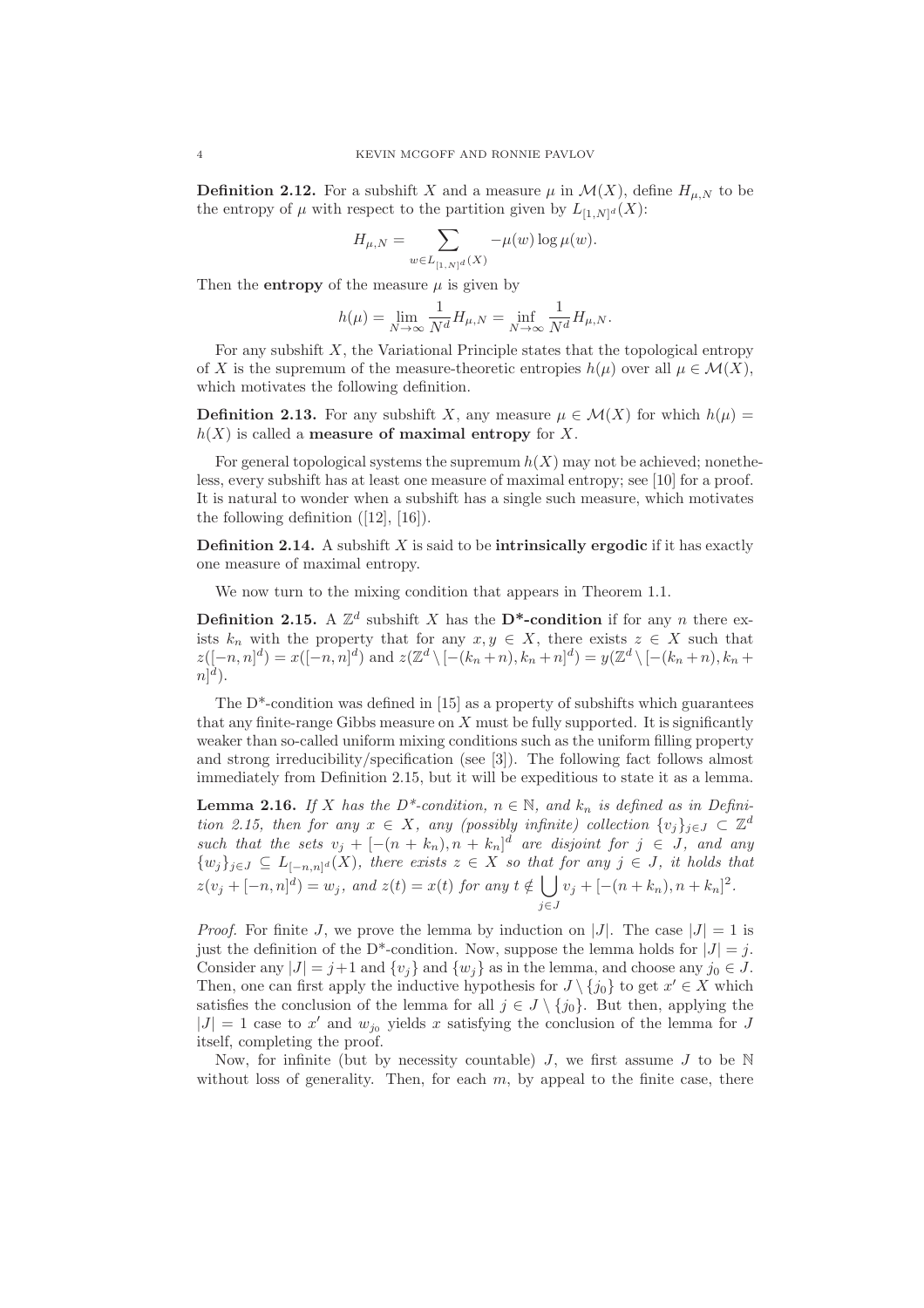**Definition 2.12.** For a subshift X and a measure  $\mu$  in  $\mathcal{M}(X)$ , define  $H_{\mu,N}$  to be the entropy of  $\mu$  with respect to the partition given by  $L_{[1,N]^d}(X)$ :

$$
H_{\mu,N} = \sum_{w \in L_{[1,N]^d}(X)} -\mu(w) \log \mu(w).
$$

Then the **entropy** of the measure  $\mu$  is given by

$$
h(\mu) = \lim_{N \to \infty} \frac{1}{N^d} H_{\mu, N} = \inf_{N \to \infty} \frac{1}{N^d} H_{\mu, N}.
$$

For any subshift  $X$ , the Variational Principle states that the topological entropy of X is the supremum of the measure-theoretic entropies  $h(\mu)$  over all  $\mu \in \mathcal{M}(X)$ , which motivates the following definition.

**Definition 2.13.** For any subshift X, any measure  $\mu \in \mathcal{M}(X)$  for which  $h(\mu)$  $h(X)$  is called a **measure of maximal entropy** for X.

For general topological systems the supremum  $h(X)$  may not be achieved; nonetheless, every subshift has at least one measure of maximal entropy; see [10] for a proof. It is natural to wonder when a subshift has a single such measure, which motivates the following definition  $([12], [16])$ .

**Definition 2.14.** A subshift  $X$  is said to be **intrinsically ergodic** if it has exactly one measure of maximal entropy.

We now turn to the mixing condition that appears in Theorem 1.1.

**Definition 2.15.** A  $\mathbb{Z}^d$  subshift X has the **D\*-condition** if for any n there exists  $k_n$  with the property that for any  $x, y \in X$ , there exists  $z \in X$  such that  $z([-n,n]^d) = x([-n,n]^d)$  and  $z(\mathbb{Z}^d \setminus [-(k_n+n), k_n+n]^d) = y(\mathbb{Z}^d \setminus [-(k_n+n), k_n+n]^d)$  $n]$ <sup>d</sup>).

The  $D^*$ -condition was defined in [15] as a property of subshifts which guarantees that any finite-range Gibbs measure on  $X$  must be fully supported. It is significantly weaker than so-called uniform mixing conditions such as the uniform filling property and strong irreducibility/specification (see [3]). The following fact follows almost immediately from Definition 2.15, but it will be expeditious to state it as a lemma.

**Lemma 2.16.** *If* X *has the*  $D^*$ -condition,  $n \in \mathbb{N}$ , and  $k_n$  *is defined as in Definition 2.15, then for any*  $x \in X$ *, any (possibly infinite) collection*  $\{v_j\}_{j\in J} \subset \mathbb{Z}^d$ *such that the sets*  $v_j + [-(n + k_n), n + k_n]^d$  *are disjoint for*  $j \in J$ *, and any*  $\{w_j\}_{j\in J}\subseteq L_{[-n,n]^d}(X)$ , there exists  $z\in X$  so that for any  $j\in J$ , it holds that  $z(v_j + [-n, n]^d) = w_j$ , and  $z(t) = x(t)$  for any  $t \notin \Box$ j∈J  $v_j + [-(n+k_n), n+k_n]^2$ .

*Proof.* For finite J, we prove the lemma by induction on |J|. The case  $|J| = 1$  is just the definition of the D<sup>\*</sup>-condition. Now, suppose the lemma holds for  $|J| = j$ . Consider any  $|J| = j+1$  and  $\{v_i\}$  and  $\{w_i\}$  as in the lemma, and choose any  $j_0 \in J$ . Then, one can first apply the inductive hypothesis for  $J \setminus \{j_0\}$  to get  $x' \in X$  which satisfies the conclusion of the lemma for all  $j \in J \setminus \{j_0\}$ . But then, applying the  $|J| = 1$  case to x' and  $w_{j_0}$  yields x satisfying the conclusion of the lemma for J itself, completing the proof.

Now, for infinite (but by necessity countable)  $J$ , we first assume  $J$  to be  $N$ without loss of generality. Then, for each  $m$ , by appeal to the finite case, there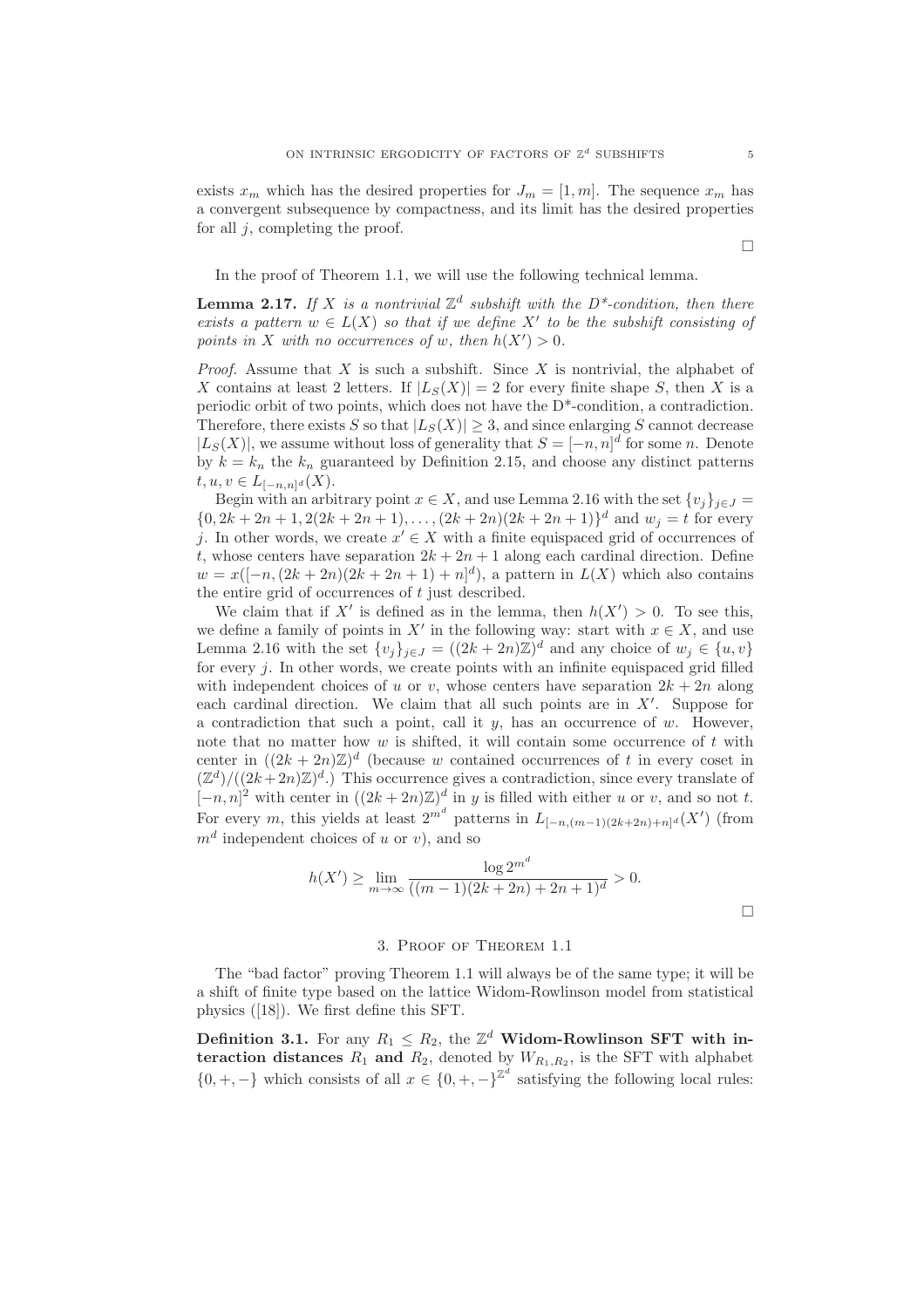exists  $x_m$  which has the desired properties for  $J_m = [1, m]$ . The sequence  $x_m$  has a convergent subsequence by compactness, and its limit has the desired properties for all  $j$ , completing the proof.

In the proof of Theorem 1.1, we will use the following technical lemma.

**Lemma 2.17.** If X is a nontrivial  $\mathbb{Z}^d$  subshift with the D<sup>\*</sup>-condition, then there *exists a pattern*  $w \in L(X)$  *so that if we define*  $X'$  *to be the subshift consisting of points in* X *with no occurrences of* w, then  $h(X') > 0$ .

*Proof.* Assume that X is such a subshift. Since X is nontrivial, the alphabet of X contains at least 2 letters. If  $|L_S(X)| = 2$  for every finite shape S, then X is a periodic orbit of two points, which does not have the  $D^*$ -condition, a contradiction. Therefore, there exists S so that  $|L_S(X)| \geq 3$ , and since enlarging S cannot decrease  $|L_S(X)|$ , we assume without loss of generality that  $S = [-n, n]^d$  for some n. Denote by  $k = k_n$  the  $k_n$  guaranteed by Definition 2.15, and choose any distinct patterns  $t, u, v \in L_{[-n,n]^d}(X).$ 

Begin with an arbitrary point  $x \in X$ , and use Lemma 2.16 with the set  $\{v_j\}_{j \in J}$  =  $\{0, 2k + 2n + 1, 2(2k + 2n + 1), \ldots, (2k + 2n)(2k + 2n + 1)\}^d$  and  $w_j = t$  for every j. In other words, we create  $x' \in X$  with a finite equispaced grid of occurrences of t, whose centers have separation  $2k + 2n + 1$  along each cardinal direction. Define  $w = x([-n, (2k+2n)(2k+2n+1)+n]^d)$ , a pattern in  $L(X)$  which also contains the entire grid of occurrences of  $t$  just described.

We claim that if X' is defined as in the lemma, then  $h(X') > 0$ . To see this, we define a family of points in X' in the following way: start with  $x \in X$ , and use Lemma 2.16 with the set  $\{v_j\}_{j\in J} = ((2k+2n)\mathbb{Z})^d$  and any choice of  $w_j \in \{u, v\}$ for every  $i$ . In other words, we create points with an infinite equispaced grid filled with independent choices of u or v, whose centers have separation  $2k + 2n$  along each cardinal direction. We claim that all such points are in X′ . Suppose for a contradiction that such a point, call it  $y$ , has an occurrence of  $w$ . However, note that no matter how  $w$  is shifted, it will contain some occurrence of  $t$  with center in  $((2k+2n)\mathbb{Z})^d$  (because w contained occurrences of t in every coset in  $(\mathbb{Z}^d)/((2k+2n)\mathbb{Z})^d$ .) This occurrence gives a contradiction, since every translate of  $[-n,n]^2$  with center in  $((2k+2n)\mathbb{Z})^d$  in y is filled with either u or v, and so not t. For every m, this yields at least  $2^{m^d}$  patterns in  $L_{[-n,(m-1)(2k+2n)+n]^d}(X')$  (from  $m<sup>d</sup>$  independent choices of u or v), and so

$$
h(X') \ge \lim_{m \to \infty} \frac{\log 2^{m^d}}{((m-1)(2k+2n)+2n+1)^d} > 0.
$$

## 3. Proof of Theorem 1.1

The "bad factor" proving Theorem 1.1 will always be of the same type; it will be a shift of finite type based on the lattice Widom-Rowlinson model from statistical physics ([18]). We first define this SFT.

**Definition 3.1.** For any  $R_1 \n\t\le R_2$ , the  $\mathbb{Z}^d$  Widom-Rowlinson SFT with interaction distances  $R_1$  and  $R_2$ , denoted by  $W_{R_1,R_2}$ , is the SFT with alphabet  $\{0, +, -\}$  which consists of all  $x \in \{0, +, -\}^{\mathbb{Z}^d}$  satisfying the following local rules:

 $\Box$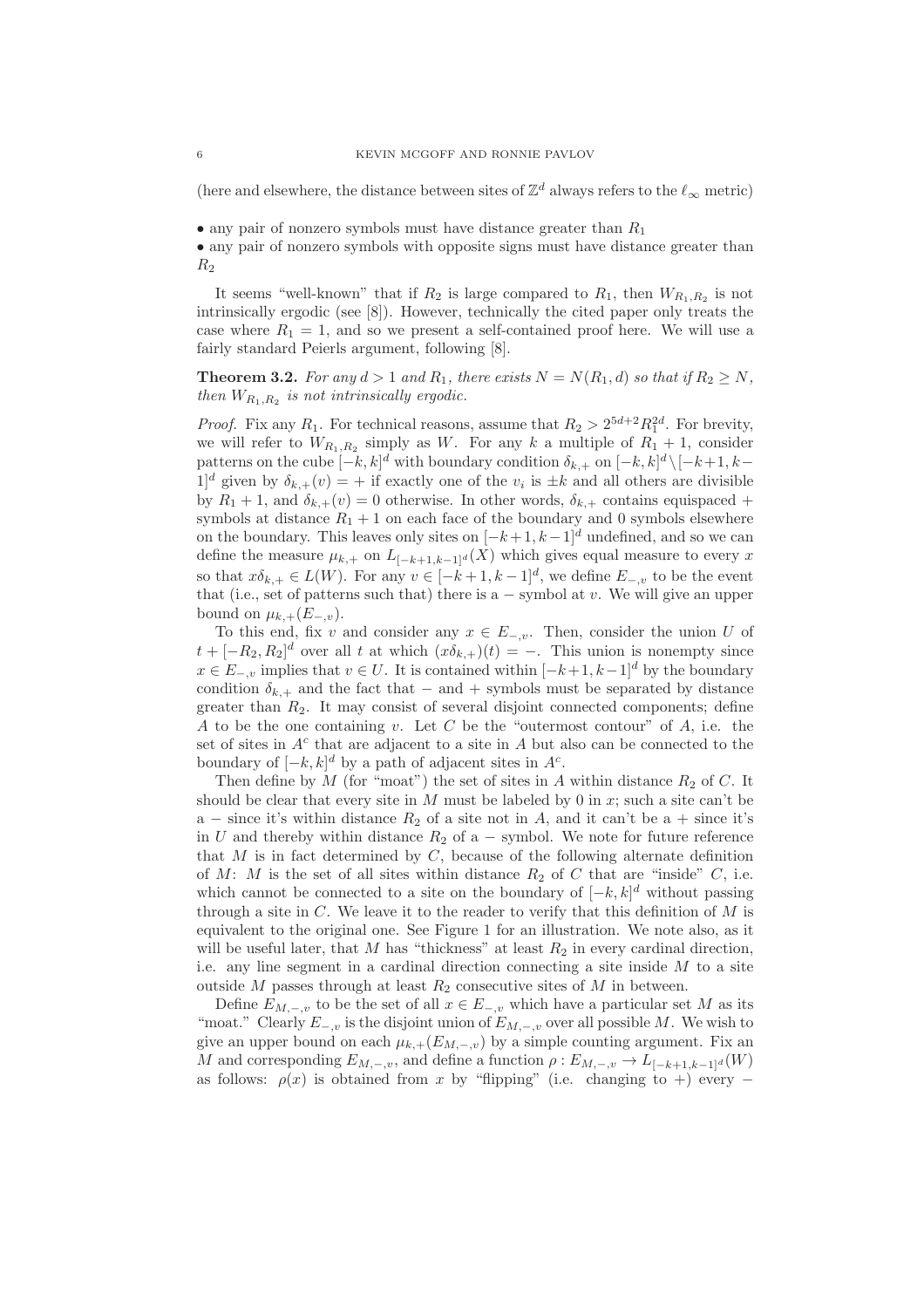(here and elsewhere, the distance between sites of  $\mathbb{Z}^d$  always refers to the  $\ell_{\infty}$  metric)

• any pair of nonzero symbols must have distance greater than  $R_1$ 

• any pair of nonzero symbols with opposite signs must have distance greater than  $R<sub>2</sub>$ 

It seems "well-known" that if  $R_2$  is large compared to  $R_1$ , then  $W_{R_1,R_2}$  is not intrinsically ergodic (see [8]). However, technically the cited paper only treats the case where  $R_1 = 1$ , and so we present a self-contained proof here. We will use a fairly standard Peierls argument, following [8].

**Theorem 3.2.** For any  $d > 1$  and  $R_1$ , there exists  $N = N(R_1, d)$  so that if  $R_2 \geq N$ , *then*  $W_{R_1,R_2}$  *is not intrinsically ergodic.* 

*Proof.* Fix any  $R_1$ . For technical reasons, assume that  $R_2 > 2^{5d+2} R_1^{2d}$ . For brevity, we will refer to  $W_{R_1,R_2}$  simply as W. For any k a multiple of  $R_1 + 1$ , consider patterns on the cube  $[-k, k]^d$  with boundary condition  $\delta_{k,+}$  on  $[-k, k]^d \setminus [-k+1, k-1]$  $[1]$ <sup>d</sup> given by  $\delta_{k,+}(v) = +$  if exactly one of the  $v_i$  is  $\pm k$  and all others are divisible by  $R_1 + 1$ , and  $\delta_{k,+}(v) = 0$  otherwise. In other words,  $\delta_{k,+}$  contains equispaced + symbols at distance  $R_1 + 1$  on each face of the boundary and 0 symbols elsewhere on the boundary. This leaves only sites on  $[-k+1, k-1]^d$  undefined, and so we can define the measure  $\mu_{k,+}$  on  $L_{[-k+1,k-1]^d}(X)$  which gives equal measure to every x so that  $x\delta_{k,+}\in L(W)$ . For any  $v\in [-k+1,k-1]^d$ , we define  $E_{-,v}$  to be the event that (i.e., set of patterns such that) there is a  $-$  symbol at v. We will give an upper bound on  $\mu_{k,+}(E_{-,v}).$ 

To this end, fix v and consider any  $x \in E_{-,v}$ . Then, consider the union U of  $t + [-R_2, R_2]^d$  over all t at which  $(x\delta_{k,+})(t) = -$ . This union is nonempty since  $x \in E_{-,v}$  implies that  $v \in U$ . It is contained within  $[-k+1, k-1]^d$  by the boundary condition  $\delta_{k,+}$  and the fact that – and + symbols must be separated by distance greater than  $R_2$ . It may consist of several disjoint connected components; define A to be the one containing v. Let C be the "outermost contour" of A, i.e. the set of sites in  $A<sup>c</sup>$  that are adjacent to a site in A but also can be connected to the boundary of  $[-k, k]^d$  by a path of adjacent sites in  $A^c$ .

Then define by  $M$  (for "moat") the set of sites in  $A$  within distance  $R_2$  of  $C$ . It should be clear that every site in M must be labeled by 0 in x; such a site can't be a – since it's within distance  $R_2$  of a site not in A, and it can't be a + since it's in U and thereby within distance  $R_2$  of a – symbol. We note for future reference that  $M$  is in fact determined by  $C$ , because of the following alternate definition of M: M is the set of all sites within distance  $R_2$  of C that are "inside" C, i.e. which cannot be connected to a site on the boundary of  $[-k, k]^d$  without passing through a site in  $C$ . We leave it to the reader to verify that this definition of  $M$  is equivalent to the original one. See Figure 1 for an illustration. We note also, as it will be useful later, that M has "thickness" at least  $R_2$  in every cardinal direction, i.e. any line segment in a cardinal direction connecting a site inside  $M$  to a site outside  $M$  passes through at least  $R_2$  consecutive sites of  $M$  in between.

Define  $E_{M,-,v}$  to be the set of all  $x \in E_{-,v}$  which have a particular set M as its "moat." Clearly  $E_{-,v}$  is the disjoint union of  $E_{M,-,v}$  over all possible M. We wish to give an upper bound on each  $\mu_{k,+}(E_{M,-,v})$  by a simple counting argument. Fix an M and corresponding  $E_{M,-,v}$ , and define a function  $\rho : E_{M,-,v} \to L_{[-k+1,k-1]^d}(W)$ as follows:  $\rho(x)$  is obtained from x by "flipping" (i.e. changing to +) every −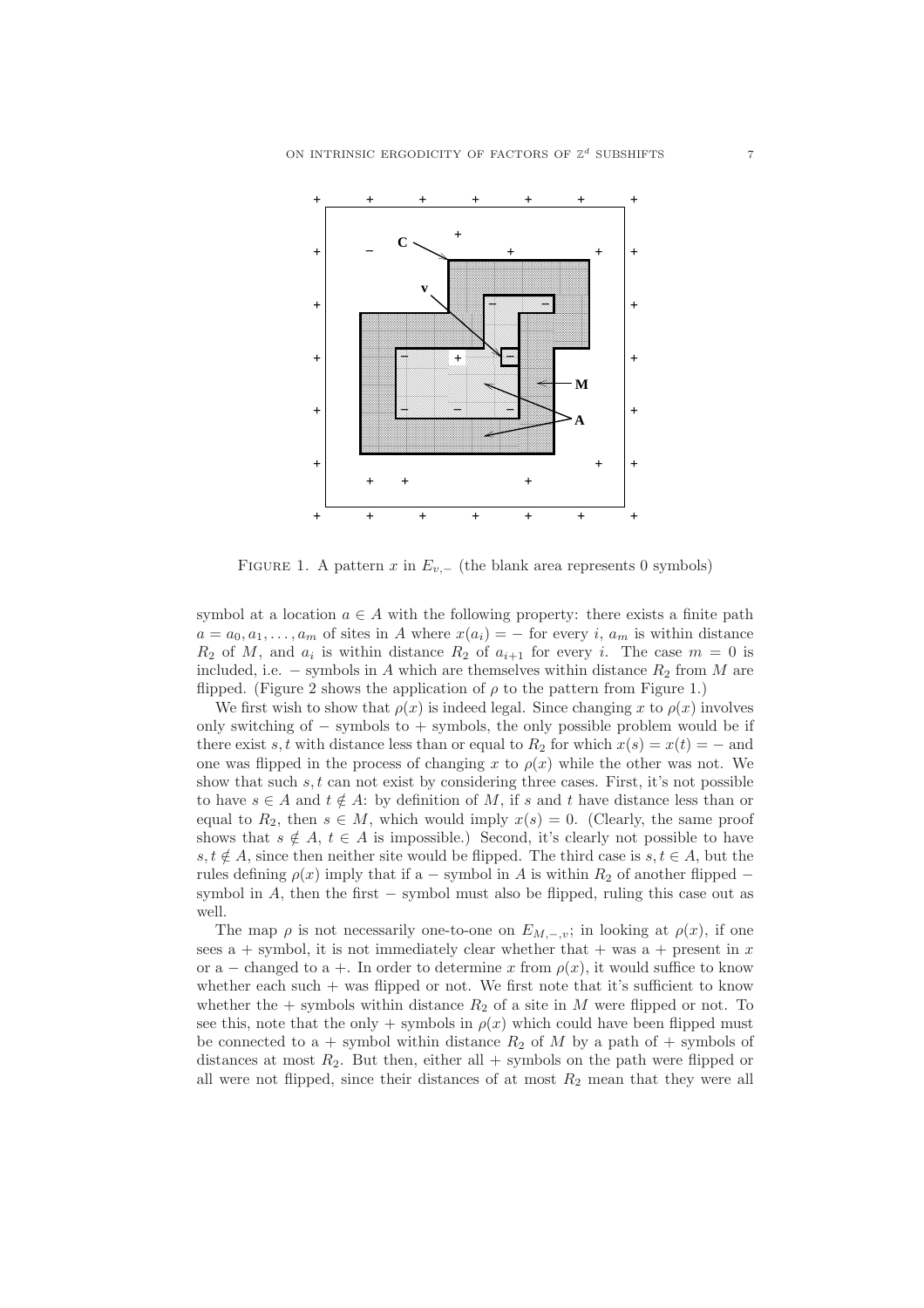

FIGURE 1. A pattern x in  $E_{v,-}$  (the blank area represents 0 symbols)

symbol at a location  $a \in A$  with the following property: there exists a finite path  $a = a_0, a_1, \ldots, a_m$  of sites in A where  $x(a_i) = -$  for every i,  $a_m$  is within distance  $R_2$  of M, and  $a_i$  is within distance  $R_2$  of  $a_{i+1}$  for every i. The case  $m = 0$  is included, i.e. – symbols in A which are themselves within distance  $R_2$  from M are flipped. (Figure 2 shows the application of  $\rho$  to the pattern from Figure 1.)

We first wish to show that  $\rho(x)$  is indeed legal. Since changing x to  $\rho(x)$  involves only switching of − symbols to + symbols, the only possible problem would be if there exist s, t with distance less than or equal to  $R_2$  for which  $x(s) = x(t) = -$  and one was flipped in the process of changing x to  $\rho(x)$  while the other was not. We show that such  $s, t$  can not exist by considering three cases. First, it's not possible to have  $s \in A$  and  $t \notin A$ : by definition of M, if s and t have distance less than or equal to  $R_2$ , then  $s \in M$ , which would imply  $x(s) = 0$ . (Clearly, the same proof shows that  $s \notin A$ ,  $t \in A$  is impossible.) Second, it's clearly not possible to have s,  $t \notin A$ , since then neither site would be flipped. The third case is  $s, t \in A$ , but the rules defining  $\rho(x)$  imply that if a – symbol in A is within  $R_2$  of another flipped – symbol in  $A$ , then the first  $-$  symbol must also be flipped, ruling this case out as well.

The map  $\rho$  is not necessarily one-to-one on  $E_{M,-,v}$ ; in looking at  $\rho(x)$ , if one sees a + symbol, it is not immediately clear whether that + was a + present in x or a – changed to a +. In order to determine x from  $\rho(x)$ , it would suffice to know whether each such  $+$  was flipped or not. We first note that it's sufficient to know whether the  $+$  symbols within distance  $R_2$  of a site in M were flipped or not. To see this, note that the only + symbols in  $\rho(x)$  which could have been flipped must be connected to a + symbol within distance  $R_2$  of M by a path of + symbols of distances at most  $R_2$ . But then, either all + symbols on the path were flipped or all were not flipped, since their distances of at most  $R_2$  mean that they were all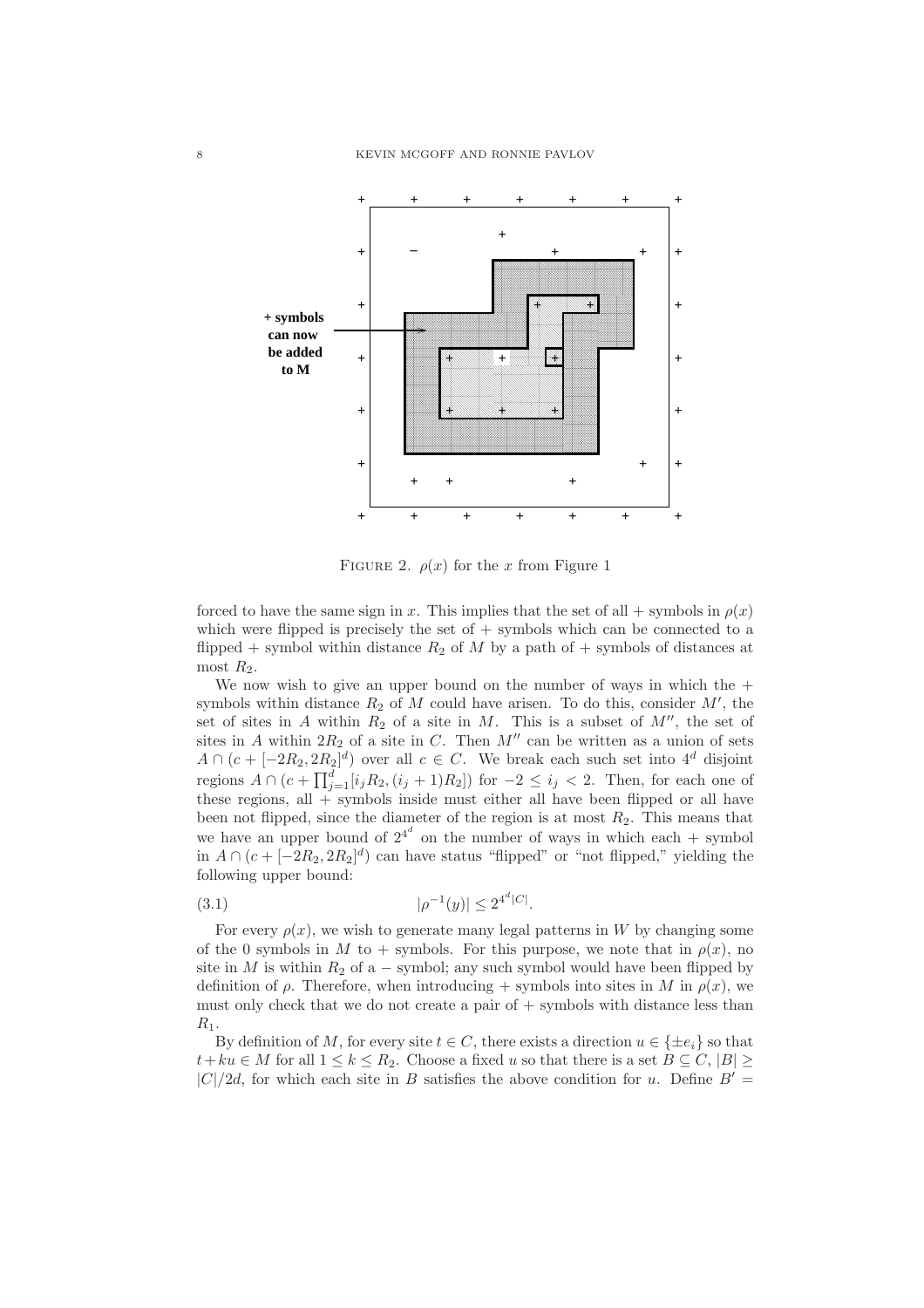

FIGURE 2.  $\rho(x)$  for the x from Figure 1

forced to have the same sign in x. This implies that the set of all + symbols in  $\rho(x)$ which were flipped is precisely the set of  $+$  symbols which can be connected to a flipped + symbol within distance  $R_2$  of M by a path of + symbols of distances at most  $R_2$ .

We now wish to give an upper bound on the number of ways in which the  $+$ symbols within distance  $R_2$  of M could have arisen. To do this, consider  $M'$ , the set of sites in A within  $R_2$  of a site in M. This is a subset of  $M''$ , the set of sites in A within  $2R_2$  of a site in C. Then M'' can be written as a union of sets  $A \cap (c + [-2R_2, 2R_2]^d)$  over all  $c \in C$ . We break each such set into  $4^d$  disjoint regions  $A \cap (c + \prod_{j=1}^{d} [i_j R_2, (i_j + 1)R_2])$  for  $-2 \le i_j < 2$ . Then, for each one of these regions, all  $+$  symbols inside must either all have been flipped or all have been not flipped, since the diameter of the region is at most  $R_2$ . This means that we have an upper bound of  $2^{4^d}$  on the number of ways in which each + symbol in  $A \cap (c + [-2R_2, 2R_2]^d)$  can have status "flipped" or "not flipped," yielding the following upper bound:

$$
(3.1) \t\t\t |\rho^{-1}(y)| \le 2^{4^d|C|}.
$$

For every  $\rho(x)$ , we wish to generate many legal patterns in W by changing some of the 0 symbols in M to + symbols. For this purpose, we note that in  $\rho(x)$ , no site in M is within  $R_2$  of a – symbol; any such symbol would have been flipped by definition of  $\rho$ . Therefore, when introducing + symbols into sites in M in  $\rho(x)$ , we must only check that we do not create a pair of + symbols with distance less than  $R_1$ .

By definition of M, for every site  $t \in C$ , there exists a direction  $u \in {\pm e_i}$  so that  $t+ku \in M$  for all  $1 \leq k \leq R_2$ . Choose a fixed u so that there is a set  $B \subseteq C, |B| \geq$  $|C|/2d$ , for which each site in B satisfies the above condition for u. Define  $B' =$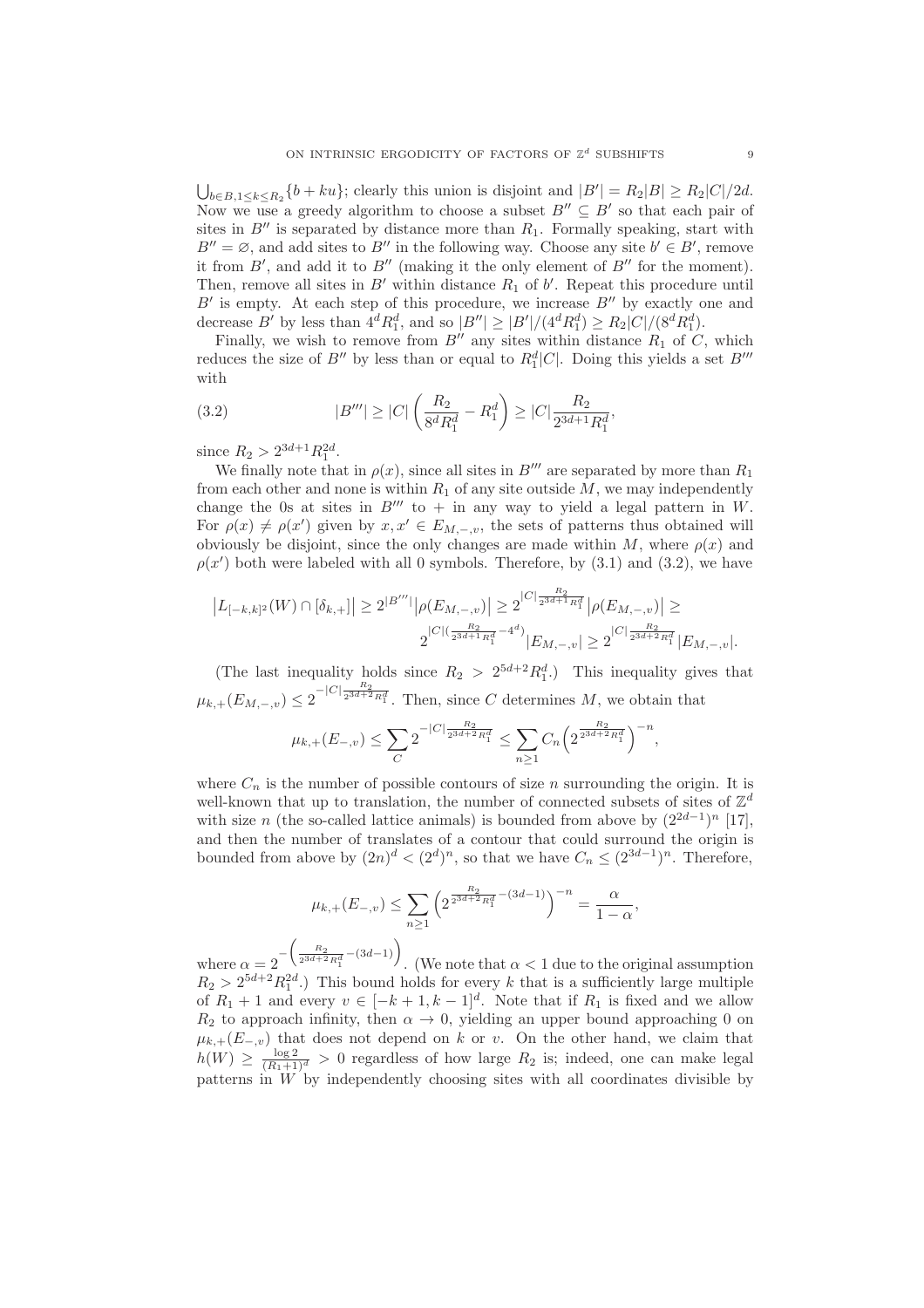$\bigcup_{b \in B, 1 \le k \le R_2} \{b + ku\};$  clearly this union is disjoint and  $|B'| = R_2|B| \ge R_2|C|/2d$ . Now we use a greedy algorithm to choose a subset  $B'' \subseteq B'$  so that each pair of sites in  $B''$  is separated by distance more than  $R_1$ . Formally speaking, start with  $B'' = \emptyset$ , and add sites to B'' in the following way. Choose any site  $b' \in B'$ , remove it from  $B'$ , and add it to  $B''$  (making it the only element of  $B''$  for the moment). Then, remove all sites in  $B'$  within distance  $R_1$  of  $b'$ . Repeat this procedure until  $B'$  is empty. At each step of this procedure, we increase  $B''$  by exactly one and decrease B' by less than  $4^d R_1^d$ , and so  $|B''| \ge |B'|/(4^d R_1^d) \ge R_2|C|/(8^d R_1^d)$ .

Finally, we wish to remove from  $B''$  any sites within distance  $R_1$  of C, which reduces the size of  $B''$  by less than or equal to  $R_1^d|C|$ . Doing this yields a set  $B'''$ with

(3.2) 
$$
|B'''| \ge |C| \left(\frac{R_2}{8^d R_1^d} - R_1^d\right) \ge |C| \frac{R_2}{2^{3d+1} R_1^d},
$$

since  $R_2 > 2^{3d+1} R_1^{2d}$ .

We finally note that in  $\rho(x)$ , since all sites in B''' are separated by more than  $R_1$ from each other and none is within  $R_1$  of any site outside  $M$ , we may independently change the 0s at sites in  $B'''$  to  $+$  in any way to yield a legal pattern in W. For  $\rho(x) \neq \rho(x')$  given by  $x, x' \in E_{M, -\nu}$ , the sets of patterns thus obtained will obviously be disjoint, since the only changes are made within M, where  $\rho(x)$  and  $\rho(x')$  both were labeled with all 0 symbols. Therefore, by  $(3.1)$  and  $(3.2)$ , we have

$$
|L_{[-k,k]^2}(W) \cap [\delta_{k,+}]| \ge 2^{|B'''|} |\rho(E_{M,-,v})| \ge 2^{|C| \frac{R_2}{2^{3d+1}R_1^d}} |\rho(E_{M,-,v})| \ge 2^{|C| \frac{R_2}{2^{3d+1}R_1^d} - 4^d}) |E_{M,-,v}| \ge 2^{|C| \frac{R_2}{2^{3d+2}R_1^d}} |E_{M,-,v}|.
$$

(The last inequality holds since  $R_2 > 2^{5d+2} R_1^d$ .) This inequality gives that  $\mu_{k,+}(E_{M,-,v}) \leq 2^{-|C|\frac{R_2}{2^{3d+2}R_1^d}}$ . Then, since C determines M, we obtain that

$$
\mu_{k,+}(E_{-,v}) \le \sum_C 2^{-|C|\frac{R_2}{2^{3d+2}R_1^d}} \le \sum_{n\ge 1} C_n \left(2^{\frac{R_2}{2^{3d+2}R_1^d}}\right)^{-n},
$$

where  $C_n$  is the number of possible contours of size n surrounding the origin. It is well-known that up to translation, the number of connected subsets of sites of  $\mathbb{Z}^d$ with size n (the so-called lattice animals) is bounded from above by  $(2^{2d-1})^n$  [17], and then the number of translates of a contour that could surround the origin is bounded from above by  $(2n)^d < (2^d)^n$ , so that we have  $C_n \leq (2^{3d-1})^n$ . Therefore,

$$
\mu_{k,+}(E_{-,v}) \le \sum_{n\ge 1} \left( 2^{\frac{R_2}{2^{3d+2}R_1^d} - (3d-1)} \right)^{-n} = \frac{\alpha}{1-\alpha},
$$

where  $\alpha = 2^{-\left(\frac{R_2}{2^{3d+2}R_1^d} - (3d-1)\right)}$ . (We note that  $\alpha < 1$  due to the original assumption  $R_2 > 2^{5d+2} R_1^{2d}$ .) This bound holds for every k that is a sufficiently large multiple of  $R_1 + 1$  and every  $v \in [-k+1, k-1]^d$ . Note that if  $R_1$  is fixed and we allow  $R_2$  to approach infinity, then  $\alpha \to 0$ , yielding an upper bound approaching 0 on  $\mu_{k,+}(E_{-,v})$  that does not depend on k or v. On the other hand, we claim that  $h(W) \geq \frac{\log 2}{(R_1+1)^d} > 0$  regardless of how large  $R_2$  is; indeed, one can make legal patterns in  $W$  by independently choosing sites with all coordinates divisible by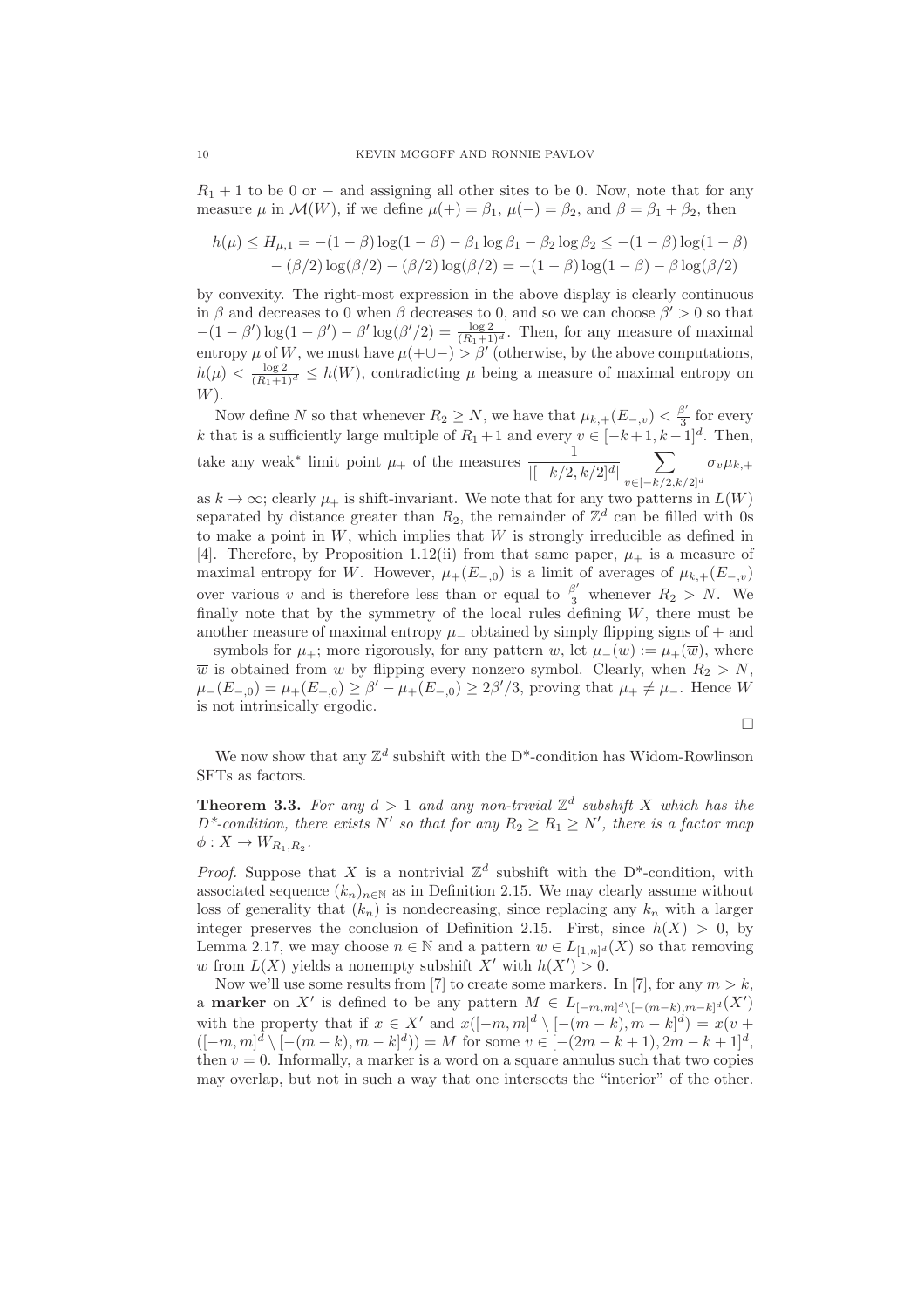$R_1 + 1$  to be 0 or – and assigning all other sites to be 0. Now, note that for any measure  $\mu$  in  $\mathcal{M}(W)$ , if we define  $\mu(+) = \beta_1$ ,  $\mu(-) = \beta_2$ , and  $\beta = \beta_1 + \beta_2$ , then

$$
h(\mu) \le H_{\mu,1} = -(1 - \beta) \log(1 - \beta) - \beta_1 \log \beta_1 - \beta_2 \log \beta_2 \le -(1 - \beta) \log(1 - \beta) - (\beta/2) \log(\beta/2) - (\beta/2) \log(\beta/2) = -(1 - \beta) \log(1 - \beta) - \beta \log(\beta/2)
$$

by convexity. The right-most expression in the above display is clearly continuous in  $\beta$  and decreases to 0 when  $\beta$  decreases to 0, and so we can choose  $\beta' > 0$  so that  $-(1-\beta')\log(1-\beta') - \beta' \log(\beta'/2) = \frac{\log 2}{(R_1+1)^d}$ . Then, for any measure of maximal entropy  $\mu$  of W, we must have  $\mu(+\cup-) > \beta'$  (otherwise, by the above computations,  $h(\mu) < \frac{\log 2}{(R_1+1)^d} \le h(W)$ , contradicting  $\mu$  being a measure of maximal entropy on  $W$ ).

Now define N so that whenever  $R_2 \geq N$ , we have that  $\mu_{k,+}(E_{-,v}) < \frac{\beta'}{3}$  for every Now define *i* so that whenever  $T_2 \geq N$ , we have that  $\mu_{k,+}(B_-, v) \leq \frac{3}{3}$  for every  $k$  that is a sufficiently large multiple of  $R_1 + 1$  and every  $v \in [-k+1, k-1]^d$ . Then, take any weak<sup>∗</sup> limit point  $\mu_+$  of the measures  $\frac{1}{|[-k/2, k/2]^d|}$  $\sum$  $v\in[-k/2,k/2]^d$  $\sigma_v\mu_{k,+}$ 

as  $k \to \infty$ ; clearly  $\mu_+$  is shift-invariant. We note that for any two patterns in  $L(W)$ separated by distance greater than  $R_2$ , the remainder of  $\mathbb{Z}^d$  can be filled with 0s to make a point in  $W$ , which implies that  $W$  is strongly irreducible as defined in [4]. Therefore, by Proposition 1.12(ii) from that same paper,  $\mu_{+}$  is a measure of maximal entropy for W. However,  $\mu_+(E_{-,0})$  is a limit of averages of  $\mu_{k,+}(E_{-,v})$ over various v and is therefore less than or equal to  $\frac{\beta'}{3}$  whenever  $R_2 > N$ . We finally note that by the symmetry of the local rules defining  $W$ , there must be another measure of maximal entropy  $\mu_-\$  obtained by simply flipping signs of  $+$  and − symbols for  $\mu_+$ ; more rigorously, for any pattern w, let  $\mu_-(w) := \mu_+(\overline{w})$ , where  $\overline{w}$  is obtained from w by flipping every nonzero symbol. Clearly, when  $R_2 > N$ ,  $\mu_{-}(E_{-,0}) = \mu_{+}(E_{+,0}) \ge \beta' - \mu_{+}(E_{-,0}) \ge 2\beta'/3$ , proving that  $\mu_{+} \ne \mu_{-}$ . Hence W is not intrinsically ergodic.

$$
\Box
$$

We now show that any  $\mathbb{Z}^d$  subshift with the D<sup>\*</sup>-condition has Widom-Rowlinson SFTs as factors.

**Theorem 3.3.** For any  $d > 1$  and any non-trivial  $\mathbb{Z}^d$  subshift X which has the  $D^*$ -condition, there exists N' so that for any  $R_2 \ge R_1 \ge N'$ , there is a factor map  $\phi: X \to W_{R_1,R_2}.$ 

*Proof.* Suppose that X is a nontrivial  $\mathbb{Z}^d$  subshift with the D<sup>\*</sup>-condition, with associated sequence  $(k_n)_{n\in\mathbb{N}}$  as in Definition 2.15. We may clearly assume without loss of generality that  $(k_n)$  is nondecreasing, since replacing any  $k_n$  with a larger integer preserves the conclusion of Definition 2.15. First, since  $h(X) > 0$ , by Lemma 2.17, we may choose  $n \in \mathbb{N}$  and a pattern  $w \in L_{[1,n]^d}(X)$  so that removing w from  $L(X)$  yields a nonempty subshift X' with  $h(X') > 0$ .

Now we'll use some results from [7] to create some markers. In [7], for any  $m > k$ , a **marker** on X' is defined to be any pattern  $M \in L_{[-m,m]^d \setminus [-(m-k),m-k]^d}(X')$ with the property that if  $x \in X'$  and  $x([-m,m]^d \setminus [-(m-k),m-k]^d) = x(v +$  $([-m, m]^{d} \setminus [-(m-k), m-k]^{d}) = M$  for some  $v \in [-(2m-k+1), 2m-k+1]^{d}$ , then  $v = 0$ . Informally, a marker is a word on a square annulus such that two copies may overlap, but not in such a way that one intersects the "interior" of the other.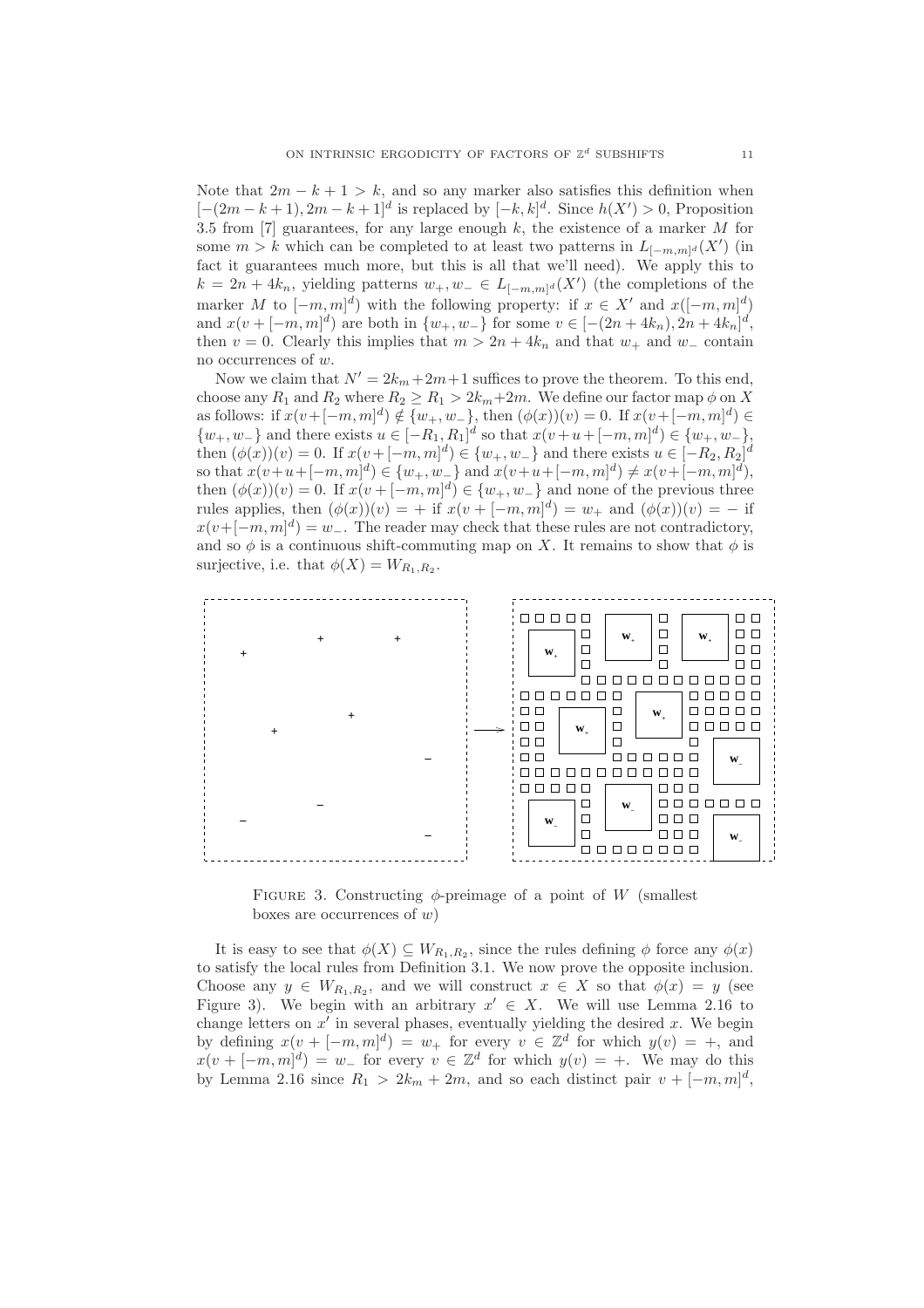Note that  $2m - k + 1 > k$ , and so any marker also satisfies this definition when  $[-(2m-k+1), 2m-k+1]^d$  is replaced by  $[-k, k]^d$ . Since  $h(X') > 0$ , Proposition 3.5 from  $[7]$  guarantees, for any large enough k, the existence of a marker M for some  $m > k$  which can be completed to at least two patterns in  $L_{[-m,m]^d}(X')$  (in fact it guarantees much more, but this is all that we'll need). We apply this to  $k = 2n + 4k_n$ , yielding patterns  $w_+, w_- \in L_{[-m,m]^d}(X')$  (the completions of the marker M to  $[-m, m]^d$ ) with the following property: if  $x \in X'$  and  $x([-m, m]^d)$ and  $x(v + [-m, m]^d)$  are both in  $\{w_+, w_-\}$  for some  $v \in [-(2n + 4k_n), 2n + 4k_n]^d$ , then v = 0. Clearly this implies that  $m > 2n + 4k_n$  and that  $w_+$  and  $w_-$  contain no occurrences of w.

Now we claim that  $N' = 2k_m + 2m + 1$  suffices to prove the theorem. To this end, choose any  $R_1$  and  $R_2$  where  $R_2 \ge R_1 > 2k_m+2m$ . We define our factor map  $\phi$  on X as follows: if  $x(v+[-m,m]^d) \notin \{w_+, w_-\}$ , then  $(\phi(x))(v) = 0$ . If  $x(v+[-m,m]^d) \in$  $\{w_+, w_-\}$  and there exists  $u \in [-R_1, R_1]^d$  so that  $x(v+u+[-m, m]^d) \in \{w_+, w_-\}$ , then  $(\phi(x))(v) = 0$ . If  $x(v + [-m, m]^d) \in \{w_+, w_-\}$  and there exists  $u \in [-R_2, R_2]^d$ so that  $x(v+u+[-m,m]^d) \in \{w_+, w_-\}$  and  $x(v+u+[-m,m]^d) \neq x(v+[-m,m]^d)$ , then  $(\phi(x))(v) = 0$ . If  $x(v + [-m, m]^d) \in \{w_+, w_-\}$  and none of the previous three rules applies, then  $(\phi(x))(v) = +$  if  $x(v + [-m, m]^d) = w_+$  and  $(\phi(x))(v) = -$  if  $x(v+[-m,m]^d) = w_-\$ . The reader may check that these rules are not contradictory, and so  $\phi$  is a continuous shift-commuting map on X. It remains to show that  $\phi$  is surjective, i.e. that  $\phi(X) = W_{R_1, R_2}$ .



FIGURE 3. Constructing  $\phi$ -preimage of a point of W (smallest boxes are occurrences of  $w$ )

It is easy to see that  $\phi(X) \subseteq W_{R_1,R_2}$ , since the rules defining  $\phi$  force any  $\phi(x)$ to satisfy the local rules from Definition 3.1. We now prove the opposite inclusion. Choose any  $y \in W_{R_1,R_2}$ , and we will construct  $x \in X$  so that  $\phi(x) = y$  (see Figure 3). We begin with an arbitrary  $x' \in X$ . We will use Lemma 2.16 to change letters on  $x'$  in several phases, eventually yielding the desired  $x$ . We begin by defining  $x(v + [-m, m]^d) = w_+$  for every  $v \in \mathbb{Z}^d$  for which  $y(v) = +$ , and  $x(v + [-m, m]^d) = w$  for every  $v \in \mathbb{Z}^d$  for which  $y(v) = +$ . We may do this by Lemma 2.16 since  $R_1 > 2k_m + 2m$ , and so each distinct pair  $v + [-m, m]^d$ ,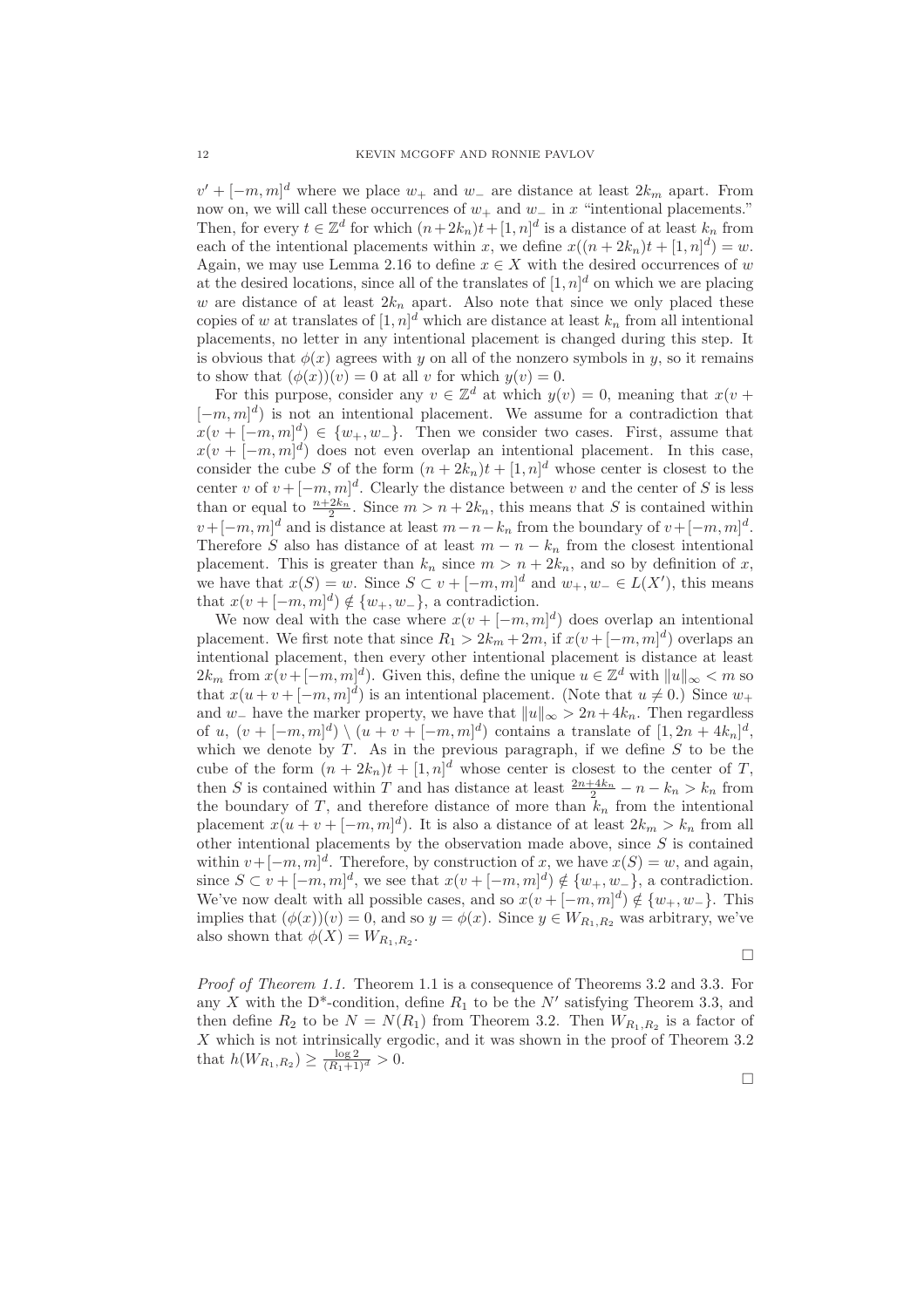$v' + [-m, m]^d$  where we place  $w_+$  and  $w_-$  are distance at least  $2k_m$  apart. From now on, we will call these occurrences of  $w_+$  and  $w_-\$  in x "intentional placements." Then, for every  $t \in \mathbb{Z}^d$  for which  $(n+2k_n)t+[1,n]^d$  is a distance of at least  $k_n$  from each of the intentional placements within x, we define  $x((n+2k_n)t + [1, n]^d) = w$ . Again, we may use Lemma 2.16 to define  $x \in X$  with the desired occurrences of w at the desired locations, since all of the translates of  $[1, n]$ <sup>d</sup> on which we are placing w are distance of at least  $2k_n$  apart. Also note that since we only placed these copies of w at translates of  $[1, n]^d$  which are distance at least  $k_n$  from all intentional placements, no letter in any intentional placement is changed during this step. It is obvious that  $\phi(x)$  agrees with y on all of the nonzero symbols in y, so it remains to show that  $(\phi(x))(v) = 0$  at all v for which  $y(v) = 0$ .

For this purpose, consider any  $v \in \mathbb{Z}^d$  at which  $y(v) = 0$ , meaning that  $x(v +$  $[-m, m]^d$ ) is not an intentional placement. We assume for a contradiction that  $x(v + [-m, m]^d) \in \{w_+, w_-\}.$  Then we consider two cases. First, assume that  $x(v + [-m, m]^d)$  does not even overlap an intentional placement. In this case, consider the cube S of the form  $(n+2k_n)t + [1, n]^d$  whose center is closest to the center v of  $v + [-m, m]^d$ . Clearly the distance between v and the center of S is less than or equal to  $\frac{n+2k_n}{2}$ . Since  $m > n + 2k_n$ , this means that S is contained within  $v + [-m, m]^d$  and is distance at least  $m - n - k_n$  from the boundary of  $v + [-m, m]^d$ . Therefore S also has distance of at least  $m - n - k_n$  from the closest intentional placement. This is greater than  $k_n$  since  $m > n + 2k_n$ , and so by definition of x, we have that  $x(S) = w$ . Since  $S \subset v + [-m, m]^d$  and  $w_+, w_- \in L(X')$ , this means that  $x(v + [-m, m]^d) \notin \{w_+, w_-\}$ , a contradiction.

We now deal with the case where  $x(v + [-m, m]^d)$  does overlap an intentional placement. We first note that since  $R_1 > 2k_m + 2m$ , if  $x(v + [-m, m]^d)$  overlaps an intentional placement, then every other intentional placement is distance at least  $2k_m$  from  $x(v+[-m,m]^d)$ . Given this, define the unique  $u \in \mathbb{Z}^d$  with  $||u||_{\infty} < m$  so that  $x(u+v+[-m,m]^d)$  is an intentional placement. (Note that  $u \neq 0$ .) Since  $w_+$ and w<sub>−</sub> have the marker property, we have that  $||u||_{\infty} > 2n + 4k_n$ . Then regardless of u,  $(v + [-m, m]^d) \setminus (u + v + [-m, m]^d)$  contains a translate of  $[1, 2n + 4k_n]^d$ , which we denote by  $T$ . As in the previous paragraph, if we define  $S$  to be the cube of the form  $(n + 2k_n)t + [1, n]^d$  whose center is closest to the center of T, then S is contained within T and has distance at least  $\frac{2n+4k_n}{2} - n - k_n > k_n$  from the boundary of T, and therefore distance of more than  $\tilde{k}_n$  from the intentional placement  $x(u + v + [-m, m]^d)$ . It is also a distance of at least  $2k_m > k_n$  from all other intentional placements by the observation made above, since  $S$  is contained within  $v + [-m, m]^d$ . Therefore, by construction of x, we have  $x(S) = w$ , and again, since  $S \subset v + [-m, m]^d$ , we see that  $x(v + [-m, m]^d) \notin \{w_+, w_-\}$ , a contradiction. We've now dealt with all possible cases, and so  $x(v + [-m, m]^d) \notin \{w_+, w_-\}$ . This implies that  $(\phi(x))(v) = 0$ , and so  $y = \phi(x)$ . Since  $y \in W_{R_1,R_2}$  was arbitrary, we've also shown that  $\phi(X) = W_{R_1, R_2}$ .

 $\Box$ 

*Proof of Theorem 1.1.* Theorem 1.1 is a consequence of Theorems 3.2 and 3.3. For any X with the D<sup>\*</sup>-condition, define  $R_1$  to be the N' satisfying Theorem 3.3, and then define  $R_2$  to be  $N = N(R_1)$  from Theorem 3.2. Then  $W_{R_1,R_2}$  is a factor of X which is not intrinsically ergodic, and it was shown in the proof of Theorem 3.2 that  $h(W_{R_1,R_2}) \geq \frac{\log 2}{(R_1+1)^d} > 0.$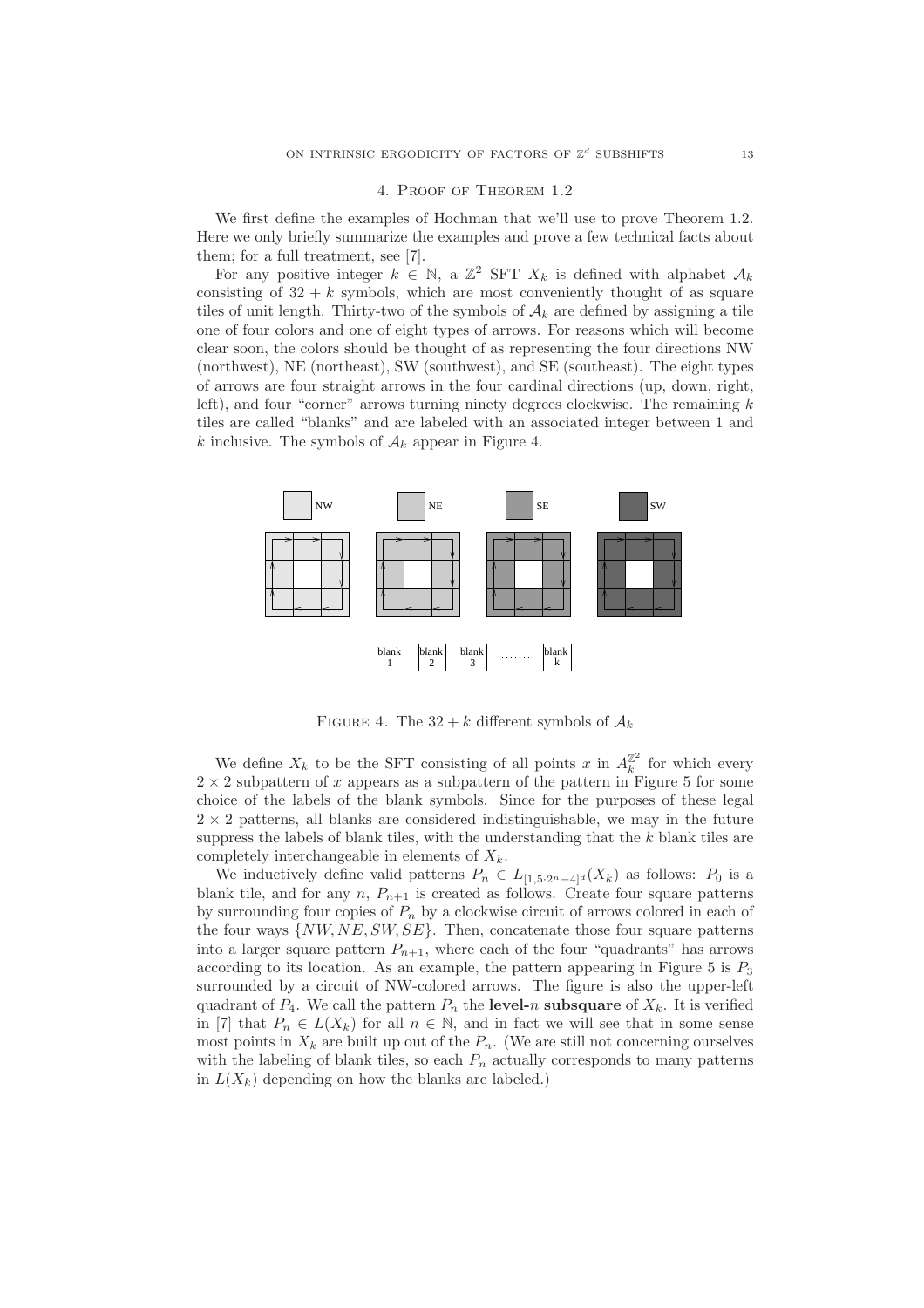#### 4. Proof of Theorem 1.2

We first define the examples of Hochman that we'll use to prove Theorem 1.2. Here we only briefly summarize the examples and prove a few technical facts about them; for a full treatment, see [7].

For any positive integer  $k \in \mathbb{N}$ , a  $\mathbb{Z}^2$  SFT  $X_k$  is defined with alphabet  $\mathcal{A}_k$ consisting of  $32 + k$  symbols, which are most conveniently thought of as square tiles of unit length. Thirty-two of the symbols of  $A_k$  are defined by assigning a tile one of four colors and one of eight types of arrows. For reasons which will become clear soon, the colors should be thought of as representing the four directions NW (northwest), NE (northeast), SW (southwest), and SE (southeast). The eight types of arrows are four straight arrows in the four cardinal directions (up, down, right, left), and four "corner" arrows turning ninety degrees clockwise. The remaining  $k$ tiles are called "blanks" and are labeled with an associated integer between 1 and k inclusive. The symbols of  $A_k$  appear in Figure 4.



FIGURE 4. The  $32 + k$  different symbols of  $\mathcal{A}_k$ 

We define  $X_k$  to be the SFT consisting of all points x in  $A_k^{\mathbb{Z}^2}$  for which every  $2 \times 2$  subpattern of x appears as a subpattern of the pattern in Figure 5 for some choice of the labels of the blank symbols. Since for the purposes of these legal  $2 \times 2$  patterns, all blanks are considered indistinguishable, we may in the future suppress the labels of blank tiles, with the understanding that the  $k$  blank tiles are completely interchangeable in elements of  $X_k$ .

We inductively define valid patterns  $P_n \in L_{[1,5\cdot2^n-4]^d}(X_k)$  as follows:  $P_0$  is a blank tile, and for any n,  $P_{n+1}$  is created as follows. Create four square patterns by surrounding four copies of  $P_n$  by a clockwise circuit of arrows colored in each of the four ways  $\{NW, NE, SW, SE\}$ . Then, concatenate those four square patterns into a larger square pattern  $P_{n+1}$ , where each of the four "quadrants" has arrows according to its location. As an example, the pattern appearing in Figure 5 is  $P_3$ surrounded by a circuit of NW-colored arrows. The figure is also the upper-left quadrant of  $P_4$ . We call the pattern  $P_n$  the **level-**n **subsquare** of  $X_k$ . It is verified in [7] that  $P_n \in L(X_k)$  for all  $n \in \mathbb{N}$ , and in fact we will see that in some sense most points in  $X_k$  are built up out of the  $P_n$ . (We are still not concerning ourselves with the labeling of blank tiles, so each  $P_n$  actually corresponds to many patterns in  $L(X_k)$  depending on how the blanks are labeled.)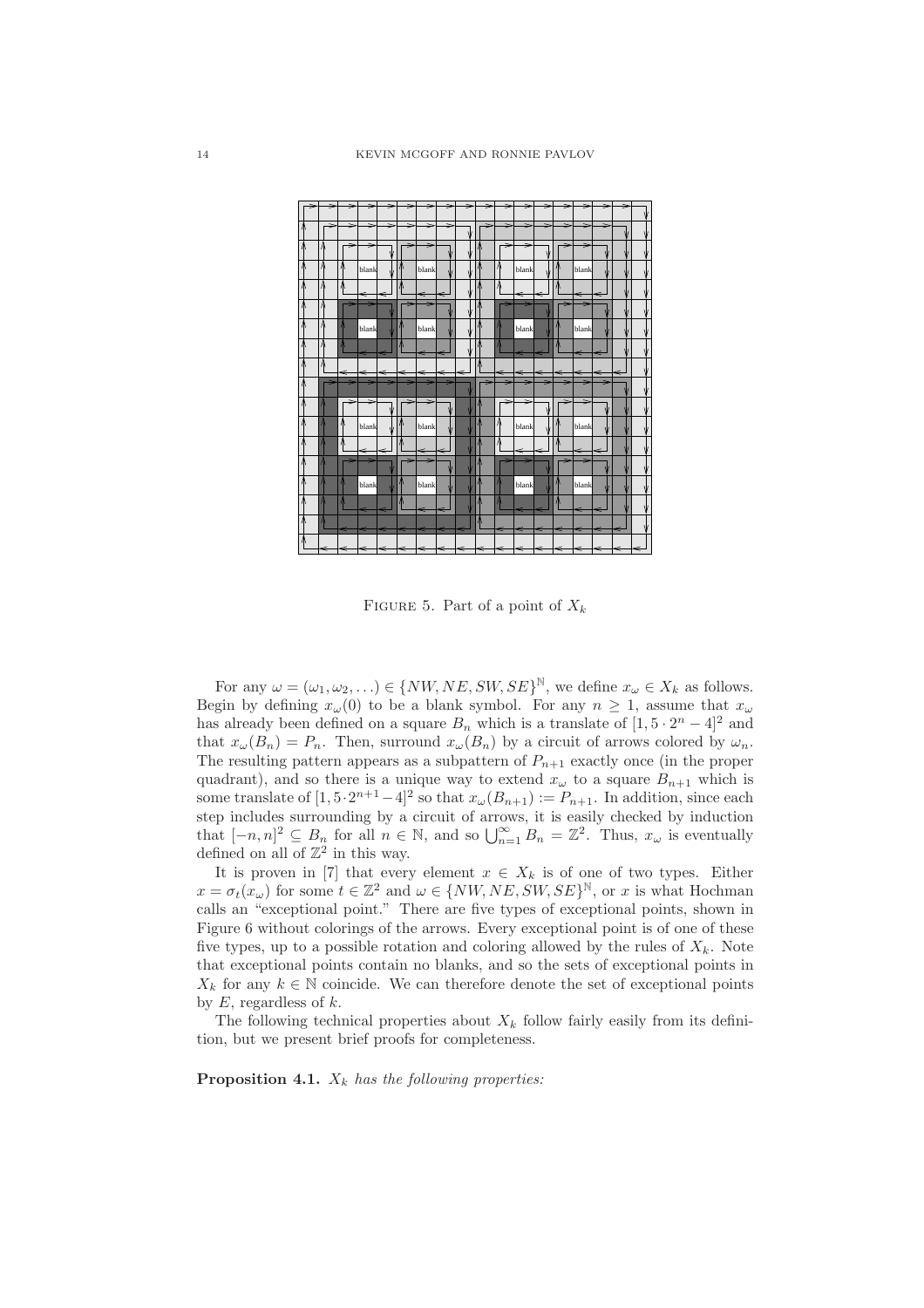

FIGURE 5. Part of a point of  $X_k$ 

For any  $\omega = (\omega_1, \omega_2, \ldots) \in \{NW, NE, SW, SE\}^{\mathbb{N}},$  we define  $x_{\omega} \in X_k$  as follows. Begin by defining  $x_{\omega}(0)$  to be a blank symbol. For any  $n \geq 1$ , assume that  $x_{\omega}$ has already been defined on a square  $B_n$  which is a translate of  $[1, 5 \cdot 2^n - 4]^2$  and that  $x_{\omega}(B_n) = P_n$ . Then, surround  $x_{\omega}(B_n)$  by a circuit of arrows colored by  $\omega_n$ . The resulting pattern appears as a subpattern of  $P_{n+1}$  exactly once (in the proper quadrant), and so there is a unique way to extend  $x_{\omega}$  to a square  $B_{n+1}$  which is some translate of  $[1, 5 \cdot 2^{n+1} - 4]^2$  so that  $x_{\omega}(B_{n+1}) := P_{n+1}$ . In addition, since each step includes surrounding by a circuit of arrows, it is easily checked by induction that  $[-n, n]^2 \subseteq B_n$  for all  $n \in \mathbb{N}$ , and so  $\bigcup_{n=1}^{\infty} B_n = \mathbb{Z}^2$ . Thus,  $x_{\omega}$  is eventually defined on all of  $\mathbb{Z}^2$  in this way.

It is proven in [7] that every element  $x \in X_k$  is of one of two types. Either  $x = \sigma_t(x_\omega)$  for some  $t \in \mathbb{Z}^2$  and  $\omega \in \{NW, NE, SW, SE\}^{\mathbb{N}},$  or x is what Hochman calls an "exceptional point." There are five types of exceptional points, shown in Figure 6 without colorings of the arrows. Every exceptional point is of one of these five types, up to a possible rotation and coloring allowed by the rules of  $X_k$ . Note that exceptional points contain no blanks, and so the sets of exceptional points in  $X_k$  for any  $k \in \mathbb{N}$  coincide. We can therefore denote the set of exceptional points by  $E$ , regardless of  $k$ .

The following technical properties about  $X_k$  follow fairly easily from its definition, but we present brief proofs for completeness.

**Proposition 4.1.**  $X_k$  *has the following properties:*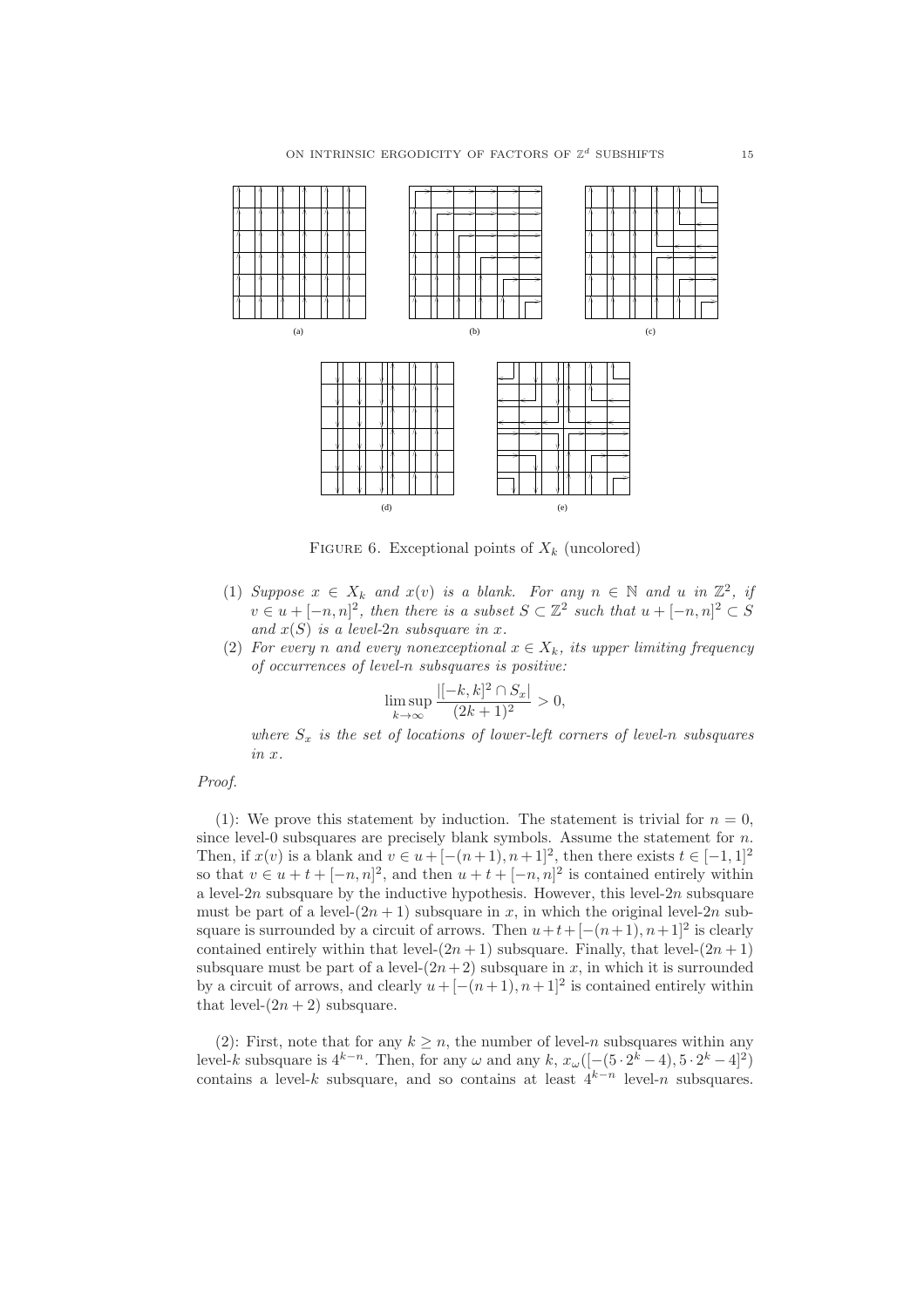

FIGURE 6. Exceptional points of  $X_k$  (uncolored)

- (1) *Suppose*  $x \in X_k$  *and*  $x(v)$  *is a blank. For any*  $n \in \mathbb{N}$  *and*  $u$  *in*  $\mathbb{Z}^2$ *, if*  $v \in u + [-n, n]^2$ , then there is a subset  $S \subset \mathbb{Z}^2$  such that  $u + [-n, n]^2 \subset S$ *and*  $x(S)$  *is a level-2n subsquare in*  $x$ *.*
- (2) *For every n* and every nonexceptional  $x \in X_k$ , its upper limiting frequency *of occurrences of level-*n *subsquares is positive:*

$$
\limsup_{k \to \infty} \frac{|[-k, k]^2 \cap S_x|}{(2k+1)^2} > 0,
$$

*where*  $S_x$  *is the set of locations of lower-left corners of level-n subsquares in* x*.*

### *Proof.*

(1): We prove this statement by induction. The statement is trivial for  $n = 0$ , since level-0 subsquares are precisely blank symbols. Assume the statement for  $n$ . Then, if  $x(v)$  is a blank and  $v \in u + [-(n+1), n+1]^2$ , then there exists  $t \in [-1, 1]^2$ so that  $v \in u + t + [-n, n]^2$ , and then  $u + t + [-n, n]^2$  is contained entirely within a level- $2n$  subsquare by the inductive hypothesis. However, this level- $2n$  subsquare must be part of a level- $(2n + 1)$  subsquare in x, in which the original level-2n subsquare is surrounded by a circuit of arrows. Then  $u+t+[-(n+1), n+1]^2$  is clearly contained entirely within that level- $(2n + 1)$  subsquare. Finally, that level- $(2n + 1)$ subsquare must be part of a level- $(2n+2)$  subsquare in x, in which it is surrounded by a circuit of arrows, and clearly  $u + [-(n+1), n+1]^2$  is contained entirely within that level- $(2n + 2)$  subsquare.

(2): First, note that for any  $k \geq n$ , the number of level-n subsquares within any level-k subsquare is  $4^{k-n}$ . Then, for any  $\omega$  and any k,  $x_{\omega}([- (5 \cdot 2^k - 4), 5 \cdot 2^k - 4]^2)$ contains a level-k subsquare, and so contains at least  $4^{k-n}$  level-n subsquares.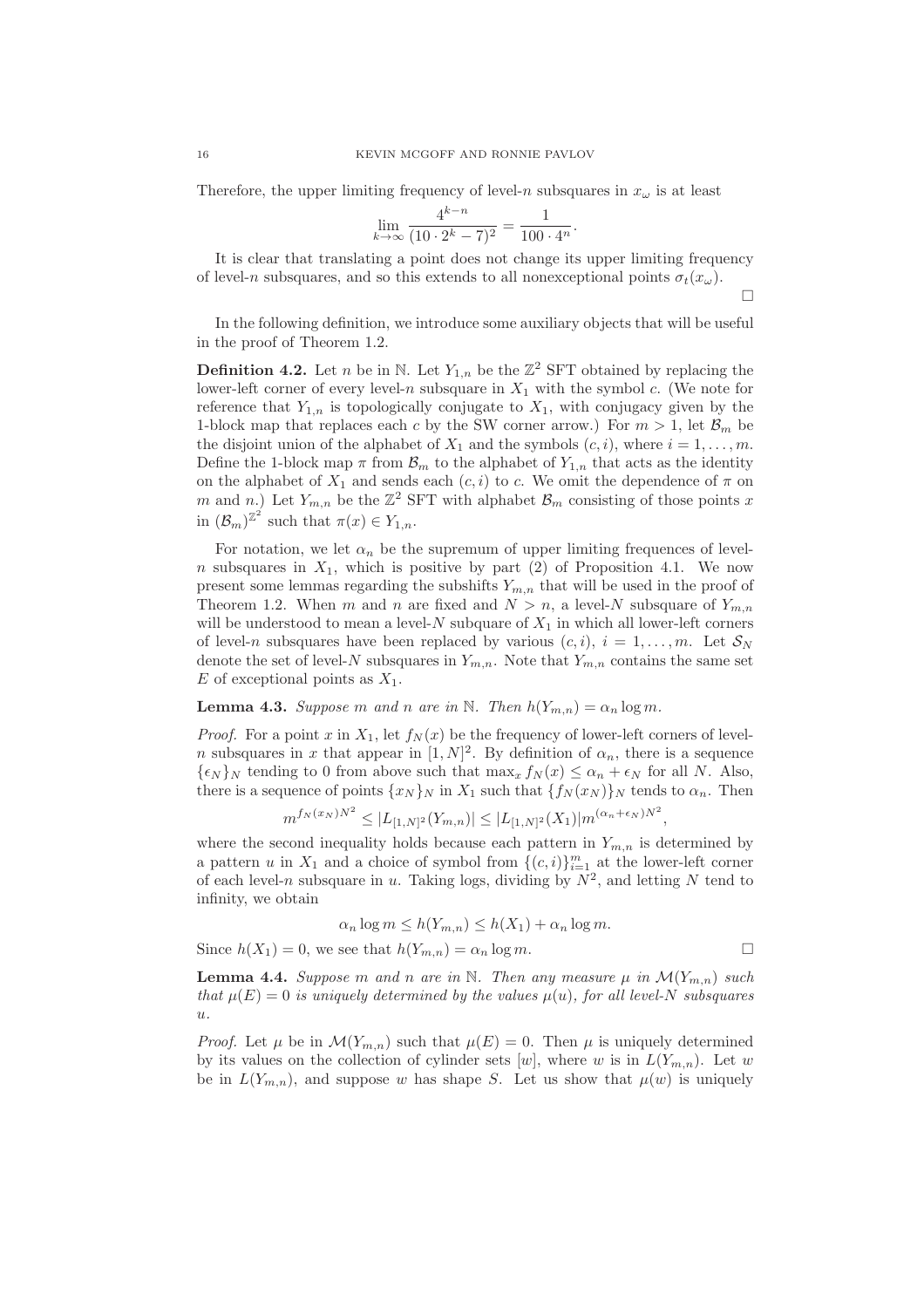Therefore, the upper limiting frequency of level-n subsquares in  $x_{\omega}$  is at least

$$
\lim_{k \to \infty} \frac{4^{k-n}}{(10 \cdot 2^k - 7)^2} = \frac{1}{100 \cdot 4^n}.
$$

It is clear that translating a point does not change its upper limiting frequency of level-n subsquares, and so this extends to all nonexceptional points  $\sigma_t(x_\omega)$ .

 $\Box$ 

In the following definition, we introduce some auxiliary objects that will be useful in the proof of Theorem 1.2.

**Definition 4.2.** Let *n* be in N. Let  $Y_{1,n}$  be the  $\mathbb{Z}^2$  SFT obtained by replacing the lower-left corner of every level-n subsquare in  $X_1$  with the symbol c. (We note for reference that  $Y_{1,n}$  is topologically conjugate to  $X_1$ , with conjugacy given by the 1-block map that replaces each c by the SW corner arrow.) For  $m > 1$ , let  $\mathcal{B}_m$  be the disjoint union of the alphabet of  $X_1$  and the symbols  $(c, i)$ , where  $i = 1, \ldots, m$ . Define the 1-block map  $\pi$  from  $\mathcal{B}_m$  to the alphabet of  $Y_{1,n}$  that acts as the identity on the alphabet of  $X_1$  and sends each  $(c, i)$  to c. We omit the dependence of  $\pi$  on m and n.) Let  $Y_{m,n}$  be the  $\mathbb{Z}^2$  SFT with alphabet  $\mathcal{B}_m$  consisting of those points x in  $(\mathcal{B}_m)^{\mathbb{Z}^2}$  such that  $\pi(x) \in Y_{1,n}$ .

For notation, we let  $\alpha_n$  be the supremum of upper limiting frequences of level $n$  subsquares in  $X_1$ , which is positive by part (2) of Proposition 4.1. We now present some lemmas regarding the subshifts  $Y_{m,n}$  that will be used in the proof of Theorem 1.2. When m and n are fixed and  $N > n$ , a level-N subsquare of  $Y_{m,n}$ will be understood to mean a level-N subquare of  $X_1$  in which all lower-left corners of level-n subsquares have been replaced by various  $(c, i)$ ,  $i = 1, \ldots, m$ . Let  $S_N$ denote the set of level-N subsquares in  $Y_{m,n}$ . Note that  $Y_{m,n}$  contains the same set E of exceptional points as  $X_1$ .

**Lemma 4.3.** *Suppose* m and n are in N. Then  $h(Y_{m,n}) = \alpha_n \log m$ .

*Proof.* For a point x in  $X_1$ , let  $f_N(x)$  be the frequency of lower-left corners of level*n* subsquares in x that appear in  $[1, N]^2$ . By definition of  $\alpha_n$ , there is a sequence  ${\epsilon_N}_N$  tending to 0 from above such that  $\max_x f_N(x) \leq \alpha_n + \epsilon_N$  for all N. Also, there is a sequence of points  $\{x_N\}_N$  in  $X_1$  such that  $\{f_N(x_N)\}_N$  tends to  $\alpha_n$ . Then

$$
m^{f_N(x_N)N^2} \le |L_{[1,N]^2}(Y_{m,n})| \le |L_{[1,N]^2}(X_1)|m^{(\alpha_n + \epsilon_N)N^2}
$$

where the second inequality holds because each pattern in  $Y_{m,n}$  is determined by a pattern u in  $X_1$  and a choice of symbol from  $\{(c, i)\}_{i=1}^m$  at the lower-left corner of each level-n subsquare in u. Taking logs, dividing by  $N^2$ , and letting N tend to infinity, we obtain

$$
\alpha_n \log m \le h(Y_{m,n}) \le h(X_1) + \alpha_n \log m.
$$

Since  $h(X_1) = 0$ , we see that  $h(Y_{m,n}) = \alpha_n \log m$ .

,

**Lemma 4.4.** *Suppose* m and n are in N. Then any measure  $\mu$  in  $\mathcal{M}(Y_{m,n})$  such *that*  $\mu(E) = 0$  *is uniquely determined by the values*  $\mu(u)$ *, for all level-N subsquares* u*.*

*Proof.* Let  $\mu$  be in  $\mathcal{M}(Y_{m,n})$  such that  $\mu(E) = 0$ . Then  $\mu$  is uniquely determined by its values on the collection of cylinder sets  $[w]$ , where w is in  $L(Y_{m,n})$ . Let w be in  $L(Y_{m,n})$ , and suppose w has shape S. Let us show that  $\mu(w)$  is uniquely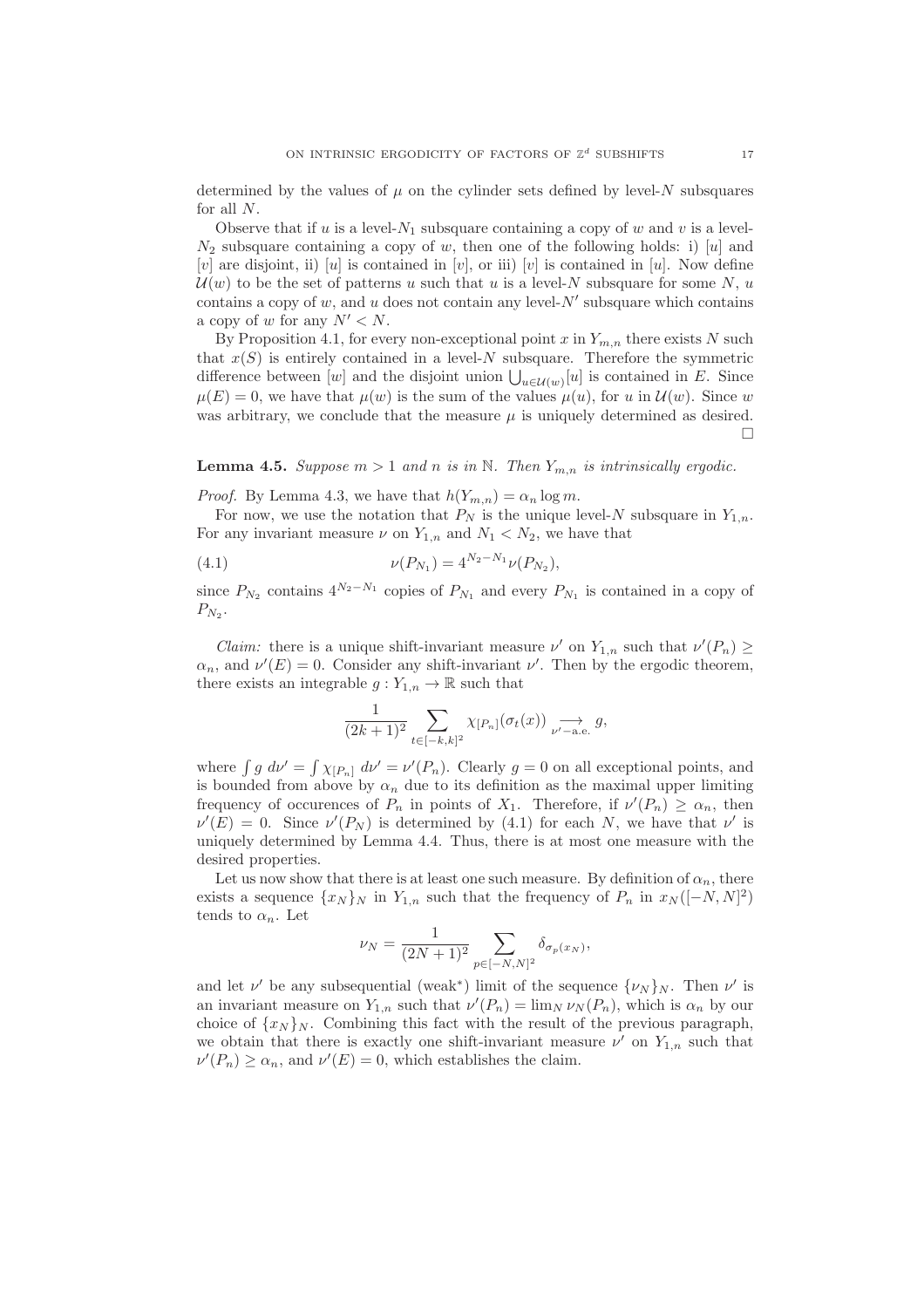determined by the values of  $\mu$  on the cylinder sets defined by level-N subsquares for all N.

Observe that if  $u$  is a level- $N_1$  subsquare containing a copy of  $w$  and  $v$  is a level- $N_2$  subsquare containing a copy of w, then one of the following holds: i) [u] and [v] are disjoint, ii) [u] is contained in [v], or iii) [v] is contained in [u]. Now define  $\mathcal{U}(w)$  to be the set of patterns u such that u is a level-N subsquare for some N, u contains a copy of  $w$ , and  $u$  does not contain any level- $N'$  subsquare which contains a copy of w for any  $N' < N$ .

By Proposition 4.1, for every non-exceptional point x in  $Y_{m,n}$  there exists N such that  $x(S)$  is entirely contained in a level-N subsquare. Therefore the symmetric difference between [w] and the disjoint union  $\bigcup_{u \in \mathcal{U}(w)}[u]$  is contained in E. Since  $\mu(E) = 0$ , we have that  $\mu(w)$  is the sum of the values  $\mu(u)$ , for u in  $\mathcal{U}(w)$ . Since w was arbitrary, we conclude that the measure  $\mu$  is uniquely determined as desired. П

**Lemma 4.5.** *Suppose*  $m > 1$  *and*  $n$  *is in* N. *Then*  $Y_{m,n}$  *is intrinsically ergodic.* 

*Proof.* By Lemma 4.3, we have that  $h(Y_{m,n}) = \alpha_n \log m$ .

For now, we use the notation that  $P_N$  is the unique level-N subsquare in  $Y_{1,n}$ . For any invariant measure  $\nu$  on  $Y_{1,n}$  and  $N_1 \langle N_2$ , we have that

(4.1) 
$$
\nu(P_{N_1}) = 4^{N_2 - N_1} \nu(P_{N_2}),
$$

since  $P_{N_2}$  contains  $4^{N_2-N_1}$  copies of  $P_{N_1}$  and every  $P_{N_1}$  is contained in a copy of  $P_{N_2}$ .

*Claim:* there is a unique shift-invariant measure  $\nu'$  on  $Y_{1,n}$  such that  $\nu'(P_n) \geq$  $\alpha_n$ , and  $\nu'(E) = 0$ . Consider any shift-invariant  $\nu'$ . Then by the ergodic theorem, there exists an integrable  $g: Y_{1,n} \to \mathbb{R}$  such that

$$
\frac{1}{(2k+1)^2} \sum_{t \in [-k,k]^2} \chi_{[P_n]}(\sigma_t(x)) \underset{\nu' = \text{a.e.}}{\longrightarrow} g,
$$

where  $\int g \, d\nu' = \int \chi_{[P_n]} \, d\nu' = \nu'(P_n)$ . Clearly  $g = 0$  on all exceptional points, and is bounded from above by  $\alpha_n$  due to its definition as the maximal upper limiting frequency of occurences of  $P_n$  in points of  $X_1$ . Therefore, if  $\nu'(P_n) \geq \alpha_n$ , then  $\nu'(E) = 0$ . Since  $\nu'(P_N)$  is determined by (4.1) for each N, we have that  $\nu'$  is uniquely determined by Lemma 4.4. Thus, there is at most one measure with the desired properties.

Let us now show that there is at least one such measure. By definition of  $\alpha_n$ , there exists a sequence  $\{x_N\}_N$  in  $Y_{1,n}$  such that the frequency of  $P_n$  in  $x_N([-N,N]^2)$ tends to  $\alpha_n$ . Let

$$
\nu_N = \frac{1}{(2N+1)^2} \sum_{p \in [-N,N]^2} \delta_{\sigma_p(x_N)},
$$

and let  $\nu'$  be any subsequential (weak<sup>\*</sup>) limit of the sequence  $\{\nu_N\}_N$ . Then  $\nu'$  is an invariant measure on  $Y_{1,n}$  such that  $\nu'(P_n) = \lim_{N \to \infty} \nu_N(P_n)$ , which is  $\alpha_n$  by our choice of  $\{x_N\}_N$ . Combining this fact with the result of the previous paragraph, we obtain that there is exactly one shift-invariant measure  $\nu'$  on  $Y_{1,n}$  such that  $\nu'(P_n) \ge \alpha_n$ , and  $\nu'(E) = 0$ , which establishes the claim.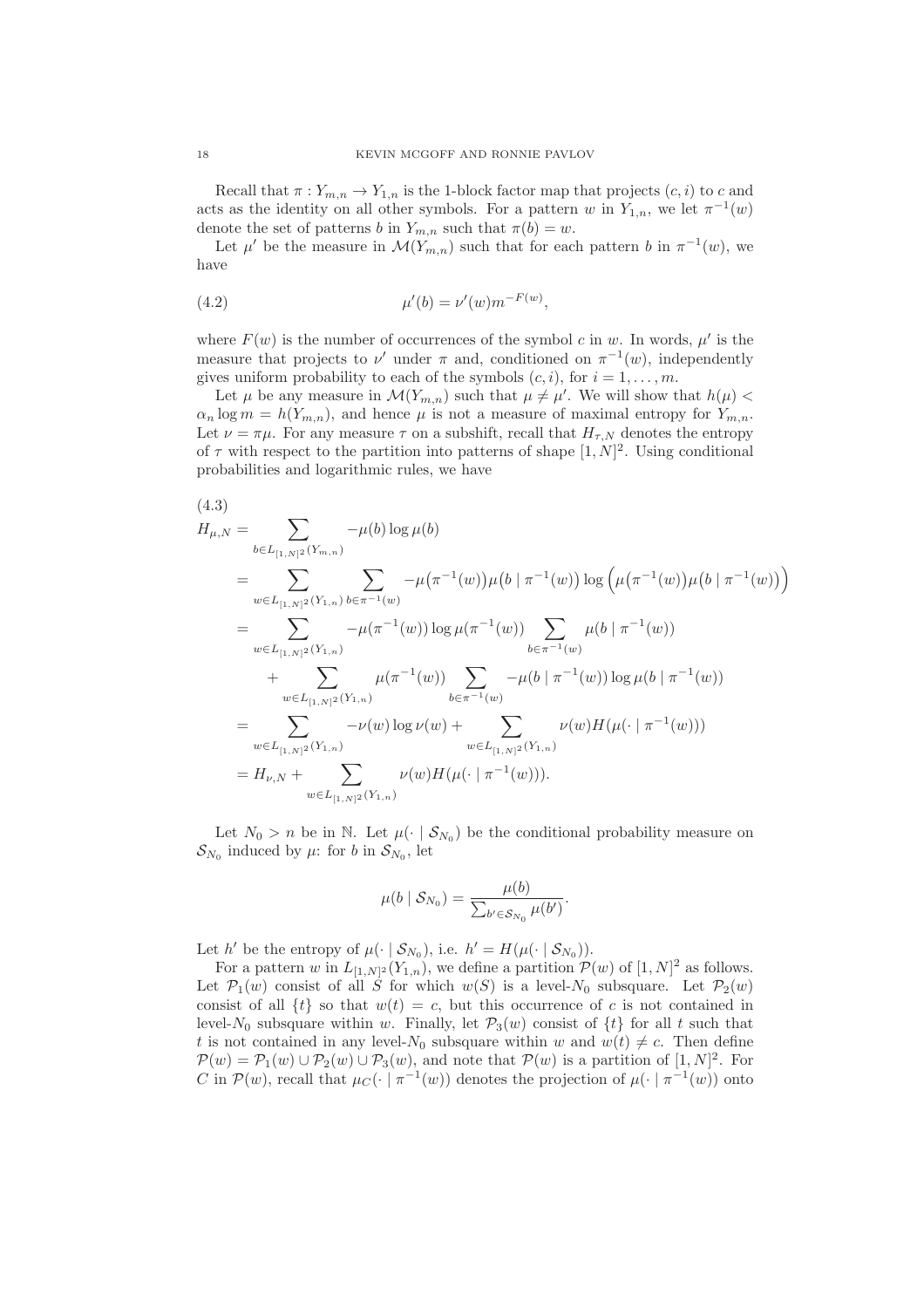Recall that  $\pi: Y_{m,n} \to Y_{1,n}$  is the 1-block factor map that projects  $(c, i)$  to c and acts as the identity on all other symbols. For a pattern w in  $Y_{1,n}$ , we let  $\pi^{-1}(w)$ denote the set of patterns b in  $Y_{m,n}$  such that  $\pi(b) = w$ .

Let  $\mu'$  be the measure in  $\mathcal{M}(Y_{m,n})$  such that for each pattern b in  $\pi^{-1}(w)$ , we have

(4.2) 
$$
\mu'(b) = \nu'(w)m^{-F(w)},
$$

where  $F(w)$  is the number of occurrences of the symbol c in w. In words,  $\mu'$  is the measure that projects to  $\nu'$  under  $\pi$  and, conditioned on  $\pi^{-1}(w)$ , independently gives uniform probability to each of the symbols  $(c, i)$ , for  $i = 1, \ldots, m$ .

Let  $\mu$  be any measure in  $\mathcal{M}(Y_{m,n})$  such that  $\mu \neq \mu'$ . We will show that  $h(\mu)$  $\alpha_n \log m = h(Y_{m,n})$ , and hence  $\mu$  is not a measure of maximal entropy for  $Y_{m,n}$ . Let  $\nu = \pi \mu$ . For any measure  $\tau$  on a subshift, recall that  $H_{\tau,N}$  denotes the entropy of  $\tau$  with respect to the partition into patterns of shape  $[1, N]^2$ . Using conditional probabilities and logarithmic rules, we have

$$
(4.3) \quad H_{\mu,N} = \sum_{b \in L_{[1,N]^2}(Y_{m,n})} -\mu(b) \log \mu(b) \n= \sum_{w \in L_{[1,N]^2}(Y_{1,n})} -\mu(\pi^{-1}(w)) \mu(b | \pi^{-1}(w)) \log \left(\mu(\pi^{-1}(w))\mu(b | \pi^{-1}(w))\right) \n= \sum_{w \in L_{[1,N]^2}(Y_{1,n})} -\mu(\pi^{-1}(w)) \log \mu(\pi^{-1}(w)) \sum_{b \in \pi^{-1}(w)} \mu(b | \pi^{-1}(w)) \n+ \sum_{w \in L_{[1,N]^2}(Y_{1,n})} \mu(\pi^{-1}(w)) \sum_{b \in \pi^{-1}(w)} -\mu(b | \pi^{-1}(w)) \log \mu(b | \pi^{-1}(w)) \n= \sum_{w \in L_{[1,N]^2}(Y_{1,n})} -\nu(w) \log \nu(w) + \sum_{w \in L_{[1,N]^2}(Y_{1,n})} \nu(w) H(\mu(\cdot | \pi^{-1}(w))) \n= H_{\nu,N} + \sum_{w \in L_{[1,N]^2}(Y_{1,n})} \nu(w) H(\mu(\cdot | \pi^{-1}(w))).
$$

Let  $N_0 > n$  be in N. Let  $\mu(\cdot | \mathcal{S}_{N_0})$  be the conditional probability measure on  $\mathcal{S}_{N_0}$  induced by  $\mu$ : for b in  $\mathcal{S}_{N_0}$ , let

$$
\mu(b \mid \mathcal{S}_{N_0}) = \frac{\mu(b)}{\sum_{b' \in \mathcal{S}_{N_0}} \mu(b')}.
$$

Let h' be the entropy of  $\mu(\cdot | \mathcal{S}_{N_0})$ , i.e.  $h' = H(\mu(\cdot | \mathcal{S}_{N_0}))$ .

For a pattern w in  $L_{[1,N]^2}(Y_{1,n})$ , we define a partition  $\mathcal{P}(w)$  of  $[1,N]^2$  as follows. Let  $\mathcal{P}_1(w)$  consist of all S for which  $w(S)$  is a level-N<sub>0</sub> subsquare. Let  $\mathcal{P}_2(w)$ consist of all  $\{t\}$  so that  $w(t) = c$ , but this occurrence of c is not contained in level- $N_0$  subsquare within w. Finally, let  $\mathcal{P}_3(w)$  consist of  $\{t\}$  for all t such that t is not contained in any level- $N_0$  subsquare within w and  $w(t) \neq c$ . Then define  $\mathcal{P}(w) = \mathcal{P}_1(w) \cup \mathcal{P}_2(w) \cup \mathcal{P}_3(w)$ , and note that  $\mathcal{P}(w)$  is a partition of  $[1, N]^2$ . For C in  $\mathcal{P}(w)$ , recall that  $\mu_C(\cdot \mid \pi^{-1}(w))$  denotes the projection of  $\mu(\cdot \mid \pi^{-1}(w))$  onto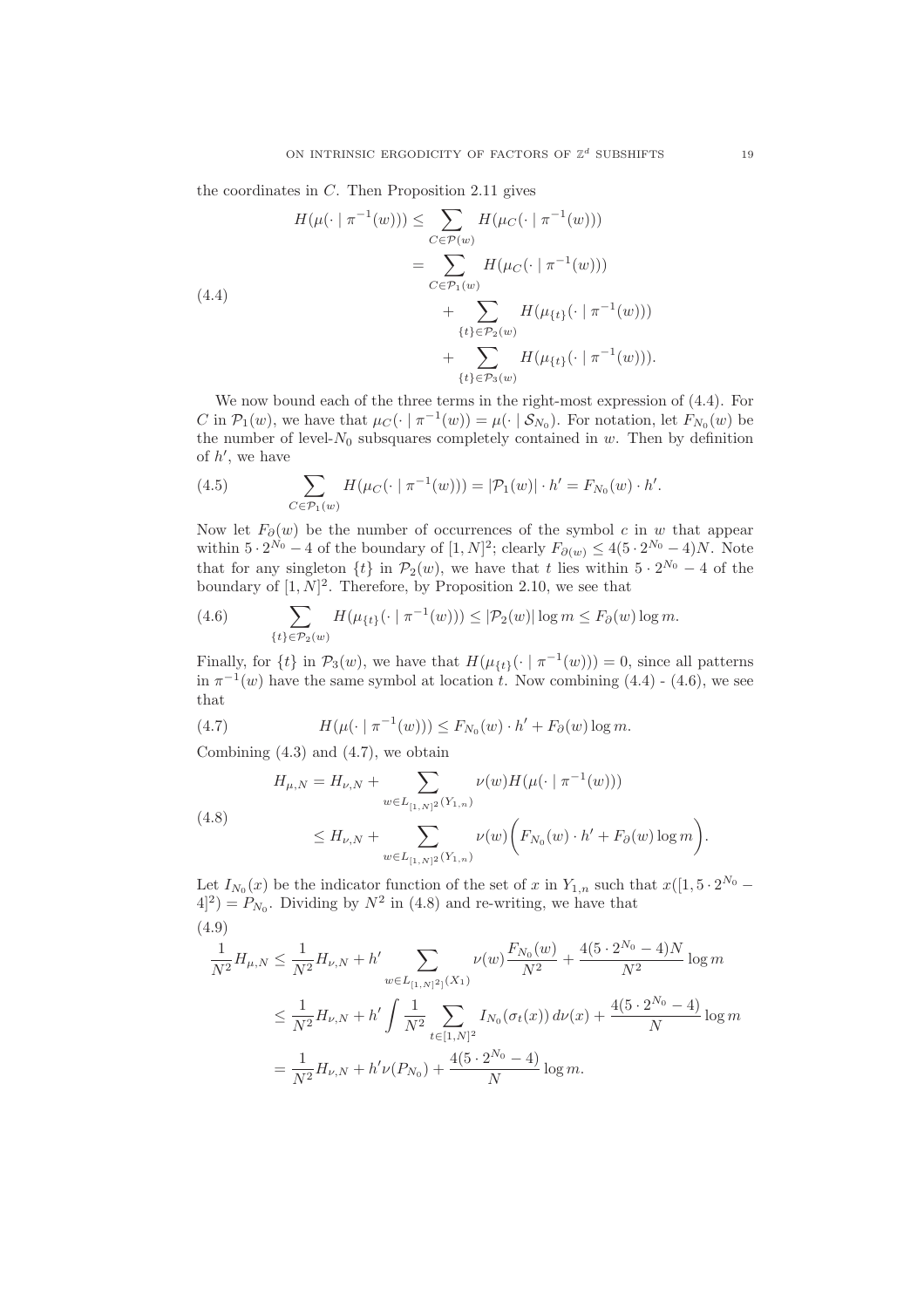the coordinates in  $C$ . Then Proposition 2.11 gives

$$
H(\mu(\cdot \mid \pi^{-1}(w))) \leq \sum_{C \in \mathcal{P}(w)} H(\mu_C(\cdot \mid \pi^{-1}(w)))
$$
  
\n
$$
= \sum_{C \in \mathcal{P}_1(w)} H(\mu_C(\cdot \mid \pi^{-1}(w)))
$$
  
\n
$$
+ \sum_{\{t\} \in \mathcal{P}_2(w)} H(\mu_{\{t\}}(\cdot \mid \pi^{-1}(w)))
$$
  
\n
$$
+ \sum_{\{t\} \in \mathcal{P}_3(w)} H(\mu_{\{t\}}(\cdot \mid \pi^{-1}(w))).
$$

We now bound each of the three terms in the right-most expression of (4.4). For C in  $\mathcal{P}_1(w)$ , we have that  $\mu_C(\cdot \mid \pi^{-1}(w)) = \mu(\cdot \mid \mathcal{S}_{N_0})$ . For notation, let  $F_{N_0}(w)$  be the number of level- $N_0$  subsquares completely contained in  $w$ . Then by definition of  $h'$ , we have

(4.5) 
$$
\sum_{C \in \mathcal{P}_1(w)} H(\mu_C(\cdot \mid \pi^{-1}(w))) = |\mathcal{P}_1(w)| \cdot h' = F_{N_0}(w) \cdot h'.
$$

Now let  $F_{\partial}(w)$  be the number of occurrences of the symbol c in w that appear within  $5 \cdot 2^{N_0} - 4$  of the boundary of  $[1, N]^2$ ; clearly  $F_{\partial(w)} \leq 4(5 \cdot 2^{N_0} - 4)N$ . Note that for any singleton  $\{t\}$  in  $\mathcal{P}_2(w)$ , we have that t lies within  $5 \cdot 2^{N_0} - 4$  of the boundary of  $[1, N]^2$ . Therefore, by Proposition 2.10, we see that

(4.6) 
$$
\sum_{\{t\} \in \mathcal{P}_2(w)} H(\mu_{\{t\}}(\cdot \mid \pi^{-1}(w))) \leq |\mathcal{P}_2(w)| \log m \leq F_\partial(w) \log m.
$$

Finally, for  $\{t\}$  in  $\mathcal{P}_3(w)$ , we have that  $H(\mu_{\{t\}}(\cdot | \pi^{-1}(w))) = 0$ , since all patterns in  $\pi^{-1}(w)$  have the same symbol at location t. Now combining  $(4.4)$  -  $(4.6)$ , we see that

(4.7) 
$$
H(\mu(\cdot \mid \pi^{-1}(w))) \leq F_{N_0}(w) \cdot h' + F_{\partial}(w) \log m.
$$

Combining  $(4.3)$  and  $(4.7)$ , we obtain

$$
H_{\mu,N} = H_{\nu,N} + \sum_{w \in L_{[1,N]^2}(Y_{1,n})} \nu(w) H(\mu(\cdot \mid \pi^{-1}(w)))
$$

(4.8) 
$$
\leq H_{\nu,N} + \sum_{w \in L_{[1,N]^2}(Y_{1,n})} \nu(w) \bigg( F_{N_0}(w) \cdot h' + F_{\partial}(w) \log m \bigg).
$$

Let  $I_{N_0}(x)$  be the indicator function of the set of x in  $Y_{1,n}$  such that  $x([1, 5 \cdot 2^{N_0} (4)^2$  =  $P_{N_0}$ . Dividing by  $N^2$  in (4.8) and re-writing, we have that (4.9)

$$
\frac{1}{N^2} H_{\mu,N} \le \frac{1}{N^2} H_{\nu,N} + h' \sum_{w \in L_{[1,N]^2}(X_1)} \nu(w) \frac{F_{N_0}(w)}{N^2} + \frac{4(5 \cdot 2^{N_0} - 4)N}{N^2} \log m
$$
  

$$
\le \frac{1}{N^2} H_{\nu,N} + h' \int \frac{1}{N^2} \sum_{t \in [1,N]^2} I_{N_0}(\sigma_t(x)) d\nu(x) + \frac{4(5 \cdot 2^{N_0} - 4)}{N} \log m
$$
  

$$
= \frac{1}{N^2} H_{\nu,N} + h' \nu(P_{N_0}) + \frac{4(5 \cdot 2^{N_0} - 4)}{N} \log m.
$$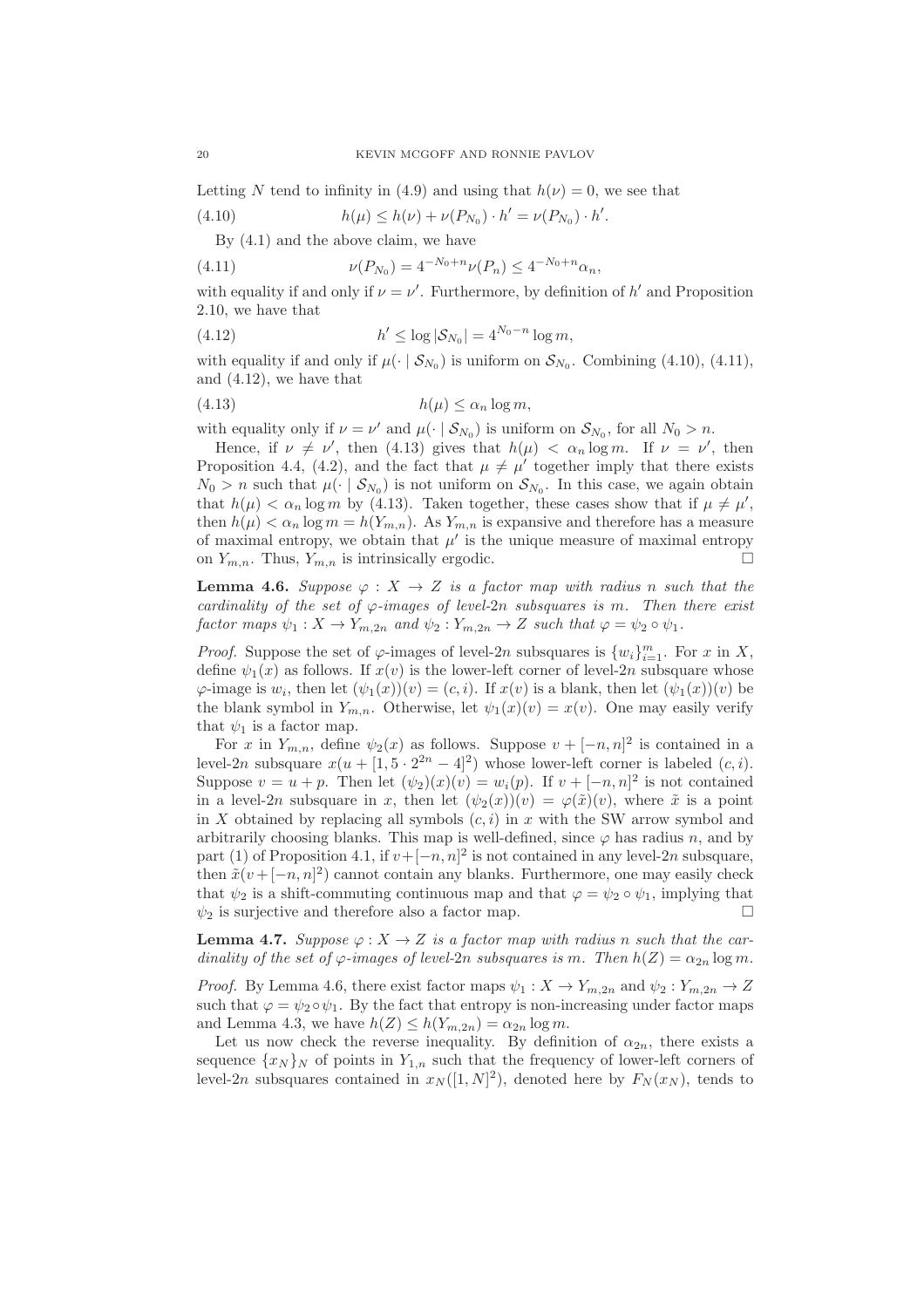Letting N tend to infinity in (4.9) and using that  $h(\nu) = 0$ , we see that

(4.10)  $h(\mu) \le h(\nu) + \nu(P_{N_0}) \cdot h' = \nu(P_{N_0}) \cdot h'.$ 

By (4.1) and the above claim, we have

(4.11) 
$$
\nu(P_{N_0}) = 4^{-N_0+n} \nu(P_n) \le 4^{-N_0+n} \alpha_n,
$$

with equality if and only if  $\nu = \nu'$ . Furthermore, by definition of  $h'$  and Proposition 2.10, we have that

(4.12) 
$$
h' \le \log |\mathcal{S}_{N_0}| = 4^{N_0 - n} \log m,
$$

with equality if and only if  $\mu(\cdot | \mathcal{S}_{N_0})$  is uniform on  $\mathcal{S}_{N_0}$ . Combining (4.10), (4.11), and (4.12), we have that

$$
(4.13) \t\t\t\t h(\mu) \le \alpha_n \log m,
$$

with equality only if  $\nu = \nu'$  and  $\mu(\cdot \mid \mathcal{S}_{N_0})$  is uniform on  $\mathcal{S}_{N_0}$ , for all  $N_0 > n$ .

Hence, if  $\nu \neq \nu'$ , then (4.13) gives that  $h(\mu) < \alpha_n \log m$ . If  $\nu = \nu'$ , then Proposition 4.4, (4.2), and the fact that  $\mu \neq \mu'$  together imply that there exists  $N_0 > n$  such that  $\mu(\cdot | \mathcal{S}_{N_0})$  is not uniform on  $\mathcal{S}_{N_0}$ . In this case, we again obtain that  $h(\mu) < \alpha_n \log m$  by (4.13). Taken together, these cases show that if  $\mu \neq \mu'$ , then  $h(\mu) < \alpha_n \log m = h(Y_{m,n})$ . As  $Y_{m,n}$  is expansive and therefore has a measure of maximal entropy, we obtain that  $\mu'$  is the unique measure of maximal entropy on  $Y_{m,n}$ . Thus,  $Y_{m,n}$  is intrinsically ergodic.

**Lemma 4.6.** Suppose  $\varphi: X \to Z$  is a factor map with radius n such that the *cardinality of the set of*  $\varphi$ *-images of level-2n subsquares is* m. Then there exist *factor maps*  $\psi_1 : X \to Y_{m,2n}$  *and*  $\psi_2 : Y_{m,2n} \to Z$  *such that*  $\varphi = \psi_2 \circ \psi_1$ *.* 

*Proof.* Suppose the set of  $\varphi$ -images of level-2n subsquares is  $\{w_i\}_{i=1}^m$ . For x in X, define  $\psi_1(x)$  as follows. If  $x(v)$  is the lower-left corner of level-2n subsquare whose  $\varphi$ -image is  $w_i$ , then let  $(\psi_1(x))(v) = (c, i)$ . If  $x(v)$  is a blank, then let  $(\psi_1(x))(v)$  be the blank symbol in  $Y_{m,n}$ . Otherwise, let  $\psi_1(x)(v) = x(v)$ . One may easily verify that  $\psi_1$  is a factor map.

For x in  $Y_{m,n}$ , define  $\psi_2(x)$  as follows. Suppose  $v + [-n, n]^2$  is contained in a level-2n subsquare  $x(u + [1, 5 \cdot 2^{2n} - 4]^2)$  whose lower-left corner is labeled  $(c, i)$ . Suppose  $v = u + p$ . Then let  $(\psi_2)(x)(v) = w_i(p)$ . If  $v + [-n, n]^2$  is not contained in a level-2n subsquare in x, then let  $(\psi_2(x))(v) = \varphi(\tilde{x})(v)$ , where  $\tilde{x}$  is a point in X obtained by replacing all symbols  $(c, i)$  in x with the SW arrow symbol and arbitrarily choosing blanks. This map is well-defined, since  $\varphi$  has radius n, and by part (1) of Proposition 4.1, if  $v+[-n,n]^2$  is not contained in any level-2n subsquare, then  $\tilde{x}(v + [-n, n]^2)$  cannot contain any blanks. Furthermore, one may easily check that  $\psi_2$  is a shift-commuting continuous map and that  $\varphi = \psi_2 \circ \psi_1$ , implying that  $\psi_2$  is surjective and therefore also a factor map.

**Lemma 4.7.** *Suppose*  $\varphi$  :  $X \to Z$  *is a factor map with radius n such that the cardinality of the set of*  $\varphi$ *-images of level-2n subsquares is m. Then*  $h(Z) = \alpha_{2n} \log m$ .

*Proof.* By Lemma 4.6, there exist factor maps  $\psi_1 : X \to Y_{m,2n}$  and  $\psi_2 : Y_{m,2n} \to Z$ such that  $\varphi = \psi_2 \circ \psi_1$ . By the fact that entropy is non-increasing under factor maps and Lemma 4.3, we have  $h(Z) \leq h(Y_{m,2n}) = \alpha_{2n} \log m$ .

Let us now check the reverse inequality. By definition of  $\alpha_{2n}$ , there exists a sequence  $\{x_N\}_N$  of points in  $Y_{1,n}$  such that the frequency of lower-left corners of level-2n subsquares contained in  $x_N([1,N]^2)$ , denoted here by  $F_N(x_N)$ , tends to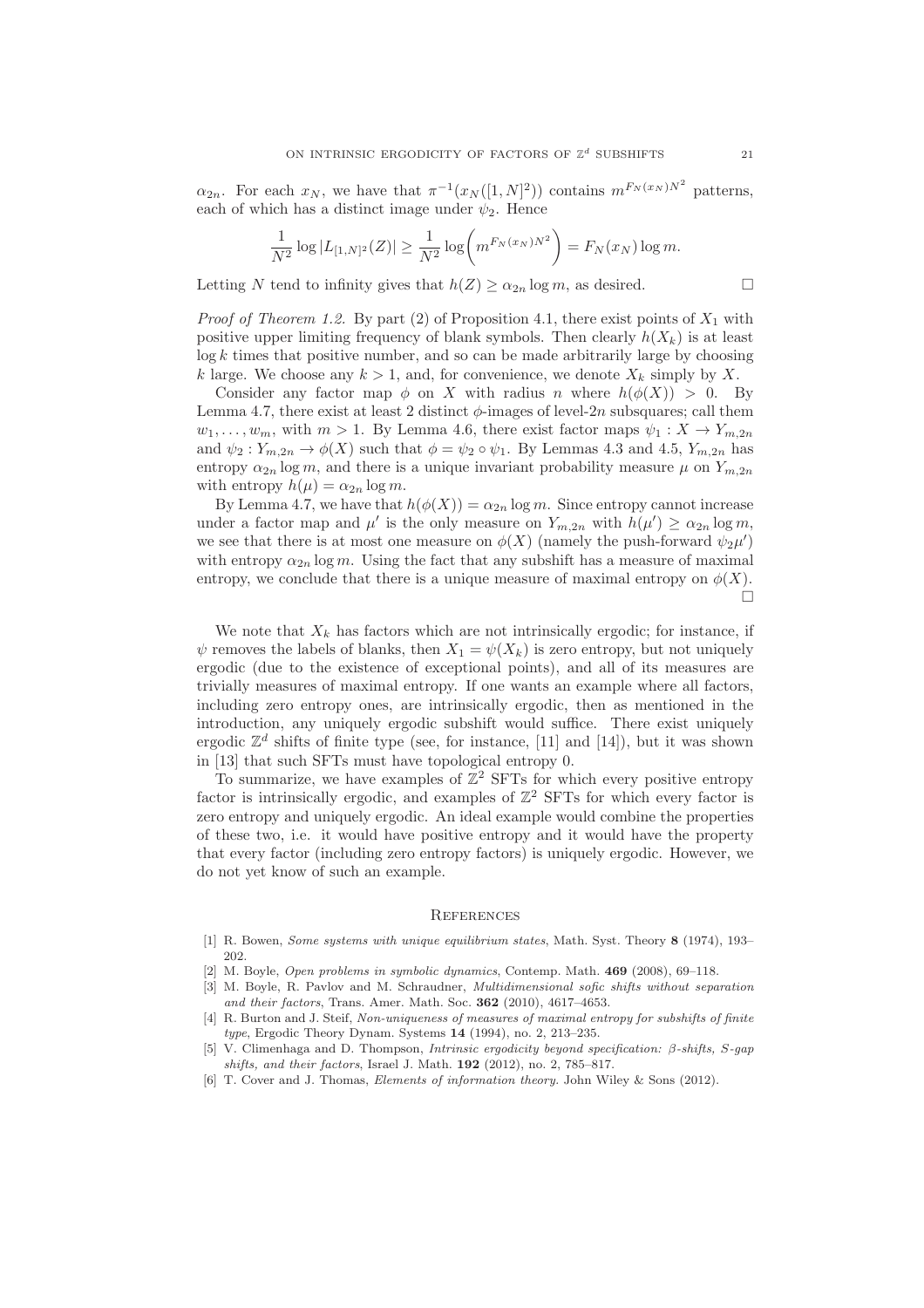$\alpha_{2n}$ . For each  $x_N$ , we have that  $\pi^{-1}(x_N([1,N]^2))$  contains  $m^{F_N(x_N)N^2}$  patterns, each of which has a distinct image under  $\psi_2$ . Hence

$$
\frac{1}{N^2} \log |L_{[1,N]^2}(Z)| \ge \frac{1}{N^2} \log \left( m^{F_N(x_N)N^2} \right) = F_N(x_N) \log m.
$$

Letting N tend to infinity gives that  $h(Z) \ge \alpha_{2n} \log m$ , as desired.

*Proof of Theorem 1.2.* By part (2) of Proposition 4.1, there exist points of  $X_1$  with positive upper limiting frequency of blank symbols. Then clearly  $h(X_k)$  is at least  $log k$  times that positive number, and so can be made arbitrarily large by choosing k large. We choose any  $k > 1$ , and, for convenience, we denote  $X_k$  simply by X.

Consider any factor map  $\phi$  on X with radius n where  $h(\phi(X)) > 0$ . By Lemma 4.7, there exist at least 2 distinct  $\phi$ -images of level-2n subsquares; call them  $w_1, \ldots, w_m$ , with  $m > 1$ . By Lemma 4.6, there exist factor maps  $\psi_1 : X \to Y_{m,2n}$ and  $\psi_2: Y_{m,2n} \to \phi(X)$  such that  $\phi = \psi_2 \circ \psi_1$ . By Lemmas 4.3 and 4.5,  $Y_{m,2n}$  has entropy  $\alpha_{2n} \log m$ , and there is a unique invariant probability measure  $\mu$  on  $Y_{m,2n}$ with entropy  $h(\mu) = \alpha_{2n} \log m$ .

By Lemma 4.7, we have that  $h(\phi(X)) = \alpha_{2n} \log m$ . Since entropy cannot increase under a factor map and  $\mu'$  is the only measure on  $Y_{m,2n}$  with  $h(\mu') \ge \alpha_{2n} \log m$ , we see that there is at most one measure on  $\phi(X)$  (namely the push-forward  $\psi_2\mu'$ ) with entropy  $\alpha_{2n} \log m$ . Using the fact that any subshift has a measure of maximal entropy, we conclude that there is a unique measure of maximal entropy on  $\phi(X)$ .  $\Box$ 

We note that  $X_k$  has factors which are not intrinsically ergodic; for instance, if  $\psi$  removes the labels of blanks, then  $X_1 = \psi(X_k)$  is zero entropy, but not uniquely ergodic (due to the existence of exceptional points), and all of its measures are trivially measures of maximal entropy. If one wants an example where all factors, including zero entropy ones, are intrinsically ergodic, then as mentioned in the introduction, any uniquely ergodic subshift would suffice. There exist uniquely ergodic  $\mathbb{Z}^d$  shifts of finite type (see, for instance, [11] and [14]), but it was shown in [13] that such SFTs must have topological entropy 0.

To summarize, we have examples of  $\mathbb{Z}^2$  SFTs for which every positive entropy factor is intrinsically ergodic, and examples of  $\mathbb{Z}^2$  SFTs for which every factor is zero entropy and uniquely ergodic. An ideal example would combine the properties of these two, i.e. it would have positive entropy and it would have the property that every factor (including zero entropy factors) is uniquely ergodic. However, we do not yet know of such an example.

#### **REFERENCES**

- [1] R. Bowen, *Some systems with unique equilibrium states*, Math. Syst. Theory 8 (1974), 193– 202.
- [2] M. Boyle, *Open problems in symbolic dynamics*, Contemp. Math. 469 (2008), 69–118.
- [3] M. Boyle, R. Pavlov and M. Schraudner, *Multidimensional sofic shifts without separation and their factors*, Trans. Amer. Math. Soc. 362 (2010), 4617–4653.
- [4] R. Burton and J. Steif, *Non-uniqueness of measures of maximal entropy for subshifts of finite type*, Ergodic Theory Dynam. Systems 14 (1994), no. 2, 213–235.
- [5] V. Climenhaga and D. Thompson, *Intrinsic ergodicity beyond specification:* β*-shifts,* S*-gap shifts, and their factors*, Israel J. Math. 192 (2012), no. 2, 785–817.
- [6] T. Cover and J. Thomas, *Elements of information theory.* John Wiley & Sons (2012).